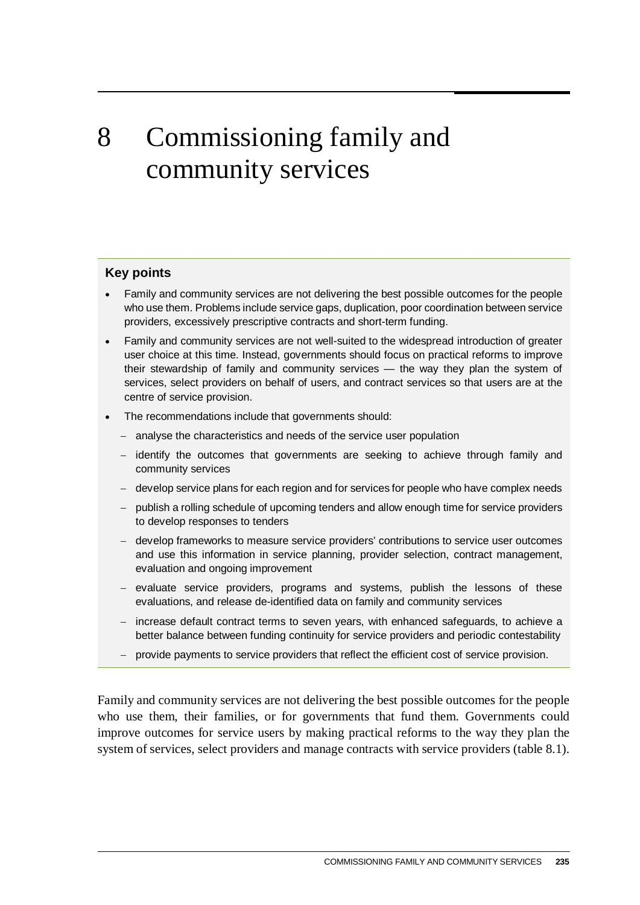# 8 Commissioning family and community services

#### **Key points**

- Family and community services are not delivering the best possible outcomes for the people who use them. Problems include service gaps, duplication, poor coordination between service providers, excessively prescriptive contracts and short-term funding.
- Family and community services are not well-suited to the widespread introduction of greater user choice at this time. Instead, governments should focus on practical reforms to improve their stewardship of family and community services — the way they plan the system of services, select providers on behalf of users, and contract services so that users are at the centre of service provision.
- The recommendations include that governments should:
	- − analyse the characteristics and needs of the service user population
	- − identify the outcomes that governments are seeking to achieve through family and community services
	- − develop service plans for each region and for services for people who have complex needs
	- − publish a rolling schedule of upcoming tenders and allow enough time for service providers to develop responses to tenders
	- − develop frameworks to measure service providers' contributions to service user outcomes and use this information in service planning, provider selection, contract management, evaluation and ongoing improvement
	- − evaluate service providers, programs and systems, publish the lessons of these evaluations, and release de-identified data on family and community services
	- − increase default contract terms to seven years, with enhanced safeguards, to achieve a better balance between funding continuity for service providers and periodic contestability
	- − provide payments to service providers that reflect the efficient cost of service provision.

Family and community services are not delivering the best possible outcomes for the people who use them, their families, or for governments that fund them. Governments could improve outcomes for service users by making practical reforms to the way they plan the system of services, select providers and manage contracts with service providers (table 8.1).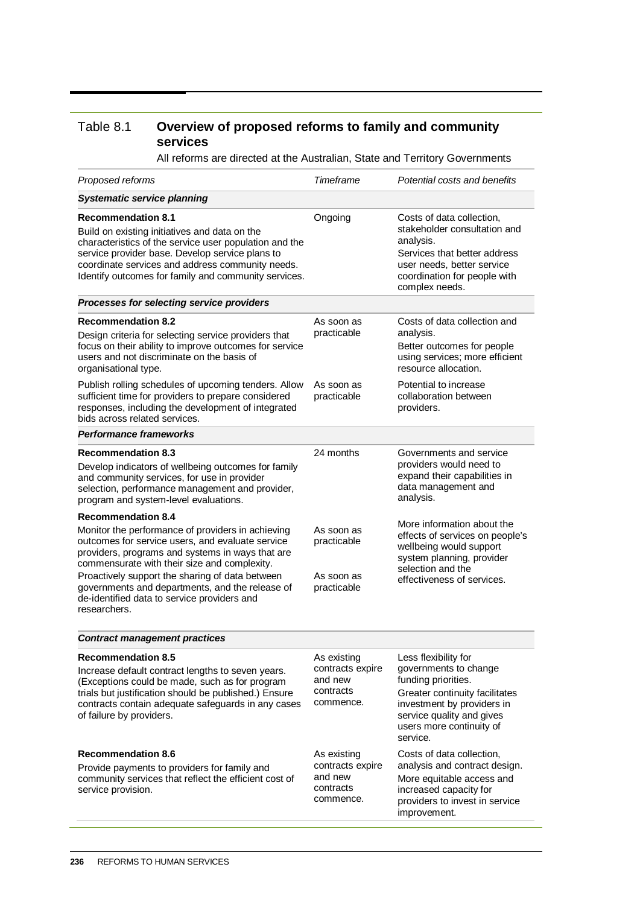#### Table 8.1 **Overview of proposed reforms to family and community services**

All reforms are directed at the Australian, State and Territory Governments

| Proposed reforms                                                                                                                                                                                                                                                                                                                                                                                                                        | <b>Timeframe</b>                                                                                                                             | Potential costs and benefits                                                                                                                                                                                                                                                                                                                                                     |
|-----------------------------------------------------------------------------------------------------------------------------------------------------------------------------------------------------------------------------------------------------------------------------------------------------------------------------------------------------------------------------------------------------------------------------------------|----------------------------------------------------------------------------------------------------------------------------------------------|----------------------------------------------------------------------------------------------------------------------------------------------------------------------------------------------------------------------------------------------------------------------------------------------------------------------------------------------------------------------------------|
| <b>Systematic service planning</b>                                                                                                                                                                                                                                                                                                                                                                                                      |                                                                                                                                              |                                                                                                                                                                                                                                                                                                                                                                                  |
| <b>Recommendation 8.1</b><br>Build on existing initiatives and data on the<br>characteristics of the service user population and the<br>service provider base. Develop service plans to<br>coordinate services and address community needs.<br>Identify outcomes for family and community services.                                                                                                                                     | Ongoing                                                                                                                                      | Costs of data collection,<br>stakeholder consultation and<br>analysis.<br>Services that better address<br>user needs, better service<br>coordination for people with<br>complex needs.                                                                                                                                                                                           |
| Processes for selecting service providers                                                                                                                                                                                                                                                                                                                                                                                               |                                                                                                                                              |                                                                                                                                                                                                                                                                                                                                                                                  |
| <b>Recommendation 8.2</b><br>Design criteria for selecting service providers that<br>focus on their ability to improve outcomes for service<br>users and not discriminate on the basis of<br>organisational type.                                                                                                                                                                                                                       | As soon as<br>practicable                                                                                                                    | Costs of data collection and<br>analysis.<br>Better outcomes for people<br>using services; more efficient<br>resource allocation.                                                                                                                                                                                                                                                |
| Publish rolling schedules of upcoming tenders. Allow<br>sufficient time for providers to prepare considered<br>responses, including the development of integrated<br>bids across related services.                                                                                                                                                                                                                                      | As soon as<br>practicable                                                                                                                    | Potential to increase<br>collaboration between<br>providers.                                                                                                                                                                                                                                                                                                                     |
| <b>Performance frameworks</b>                                                                                                                                                                                                                                                                                                                                                                                                           |                                                                                                                                              |                                                                                                                                                                                                                                                                                                                                                                                  |
| <b>Recommendation 8.3</b><br>Develop indicators of wellbeing outcomes for family<br>and community services, for use in provider<br>selection, performance management and provider,<br>program and system-level evaluations.<br><b>Recommendation 8.4</b><br>Monitor the performance of providers in achieving                                                                                                                           | 24 months<br>As soon as                                                                                                                      | Governments and service<br>providers would need to<br>expand their capabilities in<br>data management and<br>analysis.<br>More information about the<br>effects of services on people's                                                                                                                                                                                          |
| outcomes for service users, and evaluate service<br>providers, programs and systems in ways that are<br>commensurate with their size and complexity.<br>Proactively support the sharing of data between<br>governments and departments, and the release of<br>de-identified data to service providers and<br>researchers.                                                                                                               | practicable<br>As soon as<br>practicable                                                                                                     | wellbeing would support<br>system planning, provider<br>selection and the<br>effectiveness of services.                                                                                                                                                                                                                                                                          |
| <b>Contract management practices</b>                                                                                                                                                                                                                                                                                                                                                                                                    |                                                                                                                                              |                                                                                                                                                                                                                                                                                                                                                                                  |
| <b>Recommendation 8.5</b><br>Increase default contract lengths to seven years.<br>(Exceptions could be made, such as for program<br>trials but justification should be published.) Ensure<br>contracts contain adequate safeguards in any cases<br>of failure by providers.<br><b>Recommendation 8.6</b><br>Provide payments to providers for family and<br>community services that reflect the efficient cost of<br>service provision. | As existing<br>contracts expire<br>and new<br>contracts<br>commence.<br>As existing<br>contracts expire<br>and new<br>contracts<br>commence. | Less flexibility for<br>governments to change<br>funding priorities.<br>Greater continuity facilitates<br>investment by providers in<br>service quality and gives<br>users more continuity of<br>service.<br>Costs of data collection,<br>analysis and contract design.<br>More equitable access and<br>increased capacity for<br>providers to invest in service<br>improvement. |
|                                                                                                                                                                                                                                                                                                                                                                                                                                         |                                                                                                                                              |                                                                                                                                                                                                                                                                                                                                                                                  |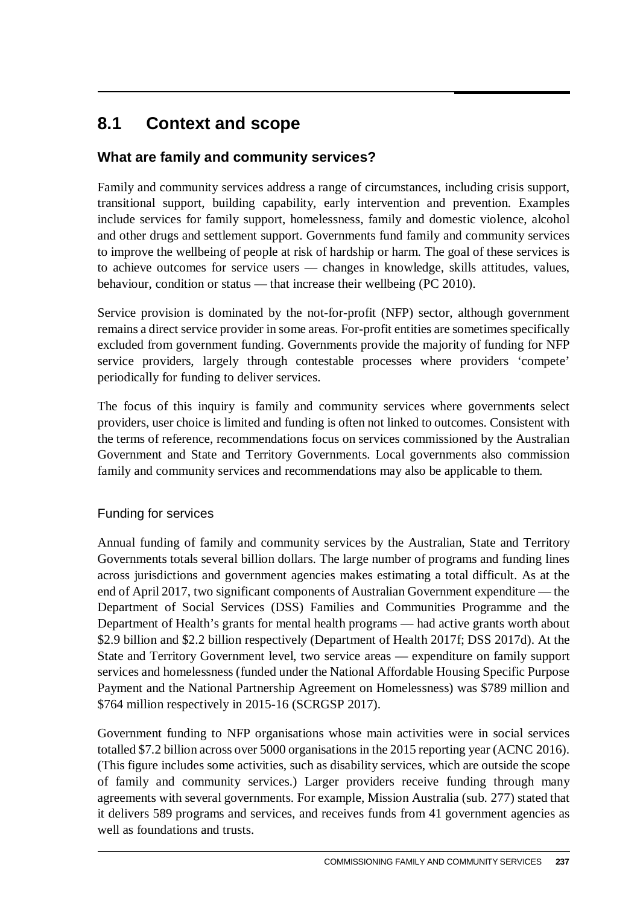# **8.1 Context and scope**

# **What are family and community services?**

Family and community services address a range of circumstances, including crisis support, transitional support, building capability, early intervention and prevention. Examples include services for family support, homelessness, family and domestic violence, alcohol and other drugs and settlement support. Governments fund family and community services to improve the wellbeing of people at risk of hardship or harm. The goal of these services is to achieve outcomes for service users — changes in knowledge, skills attitudes, values, behaviour, condition or status — that increase their wellbeing (PC 2010).

Service provision is dominated by the not-for-profit (NFP) sector, although government remains a direct service provider in some areas. For-profit entities are sometimes specifically excluded from government funding. Governments provide the majority of funding for NFP service providers, largely through contestable processes where providers 'compete' periodically for funding to deliver services.

The focus of this inquiry is family and community services where governments select providers, user choice is limited and funding is often not linked to outcomes. Consistent with the terms of reference, recommendations focus on services commissioned by the Australian Government and State and Territory Governments. Local governments also commission family and community services and recommendations may also be applicable to them.

## Funding for services

Annual funding of family and community services by the Australian, State and Territory Governments totals several billion dollars. The large number of programs and funding lines across jurisdictions and government agencies makes estimating a total difficult. As at the end of April 2017, two significant components of Australian Government expenditure — the Department of Social Services (DSS) Families and Communities Programme and the Department of Health's grants for mental health programs — had active grants worth about \$2.9 billion and \$2.2 billion respectively (Department of Health 2017f; DSS 2017d). At the State and Territory Government level, two service areas — expenditure on family support services and homelessness (funded under the National Affordable Housing Specific Purpose Payment and the National Partnership Agreement on Homelessness) was \$789 million and \$764 million respectively in 2015-16 (SCRGSP 2017).

Government funding to NFP organisations whose main activities were in social services totalled \$7.2 billion across over 5000 organisations in the 2015 reporting year (ACNC 2016). (This figure includes some activities, such as disability services, which are outside the scope of family and community services.) Larger providers receive funding through many agreements with several governments. For example, Mission Australia (sub. 277) stated that it delivers 589 programs and services, and receives funds from 41 government agencies as well as foundations and trusts.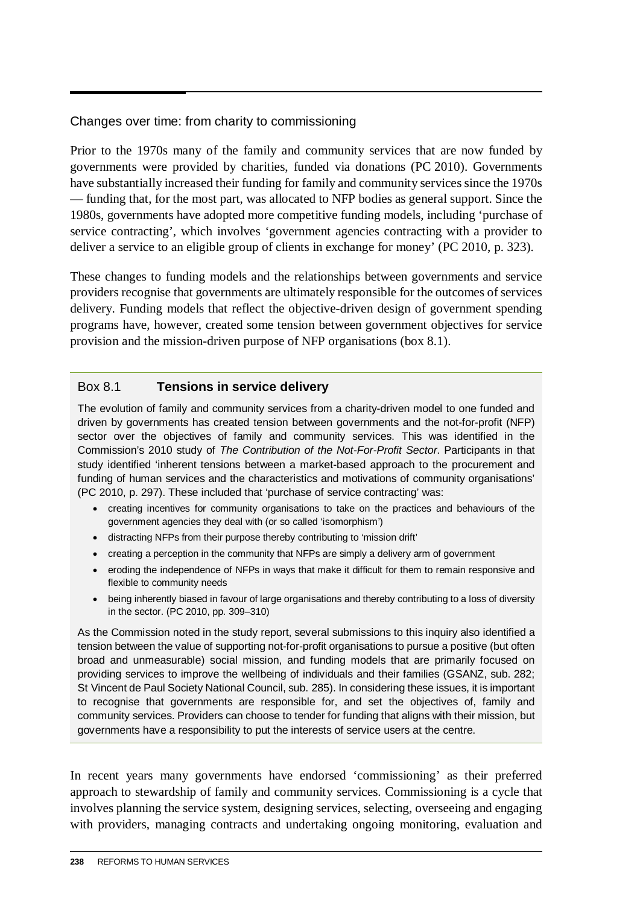#### Changes over time: from charity to commissioning

Prior to the 1970s many of the family and community services that are now funded by governments were provided by charities, funded via donations (PC 2010). Governments have substantially increased their funding for family and community services since the 1970s — funding that, for the most part, was allocated to NFP bodies as general support. Since the 1980s, governments have adopted more competitive funding models, including 'purchase of service contracting', which involves 'government agencies contracting with a provider to deliver a service to an eligible group of clients in exchange for money' (PC 2010, p. 323).

These changes to funding models and the relationships between governments and service providers recognise that governments are ultimately responsible for the outcomes of services delivery. Funding models that reflect the objective-driven design of government spending programs have, however, created some tension between government objectives for service provision and the mission-driven purpose of NFP organisations (box 8.1).

#### Box 8.1 **Tensions in service delivery**

The evolution of family and community services from a charity-driven model to one funded and driven by governments has created tension between governments and the not-for-profit (NFP) sector over the objectives of family and community services. This was identified in the Commission's 2010 study of *The Contribution of the Not-For-Profit Sector*. Participants in that study identified 'inherent tensions between a market-based approach to the procurement and funding of human services and the characteristics and motivations of community organisations' (PC 2010, p. 297). These included that 'purchase of service contracting' was:

- creating incentives for community organisations to take on the practices and behaviours of the government agencies they deal with (or so called 'isomorphism')
- distracting NFPs from their purpose thereby contributing to 'mission drift'
- creating a perception in the community that NFPs are simply a delivery arm of government
- eroding the independence of NFPs in ways that make it difficult for them to remain responsive and flexible to community needs
- being inherently biased in favour of large organisations and thereby contributing to a loss of diversity in the sector. (PC 2010, pp. 309–310)

As the Commission noted in the study report, several submissions to this inquiry also identified a tension between the value of supporting not-for-profit organisations to pursue a positive (but often broad and unmeasurable) social mission, and funding models that are primarily focused on providing services to improve the wellbeing of individuals and their families (GSANZ, sub. 282; St Vincent de Paul Society National Council, sub. 285). In considering these issues, it is important to recognise that governments are responsible for, and set the objectives of, family and community services. Providers can choose to tender for funding that aligns with their mission, but governments have a responsibility to put the interests of service users at the centre.

In recent years many governments have endorsed 'commissioning' as their preferred approach to stewardship of family and community services. Commissioning is a cycle that involves planning the service system, designing services, selecting, overseeing and engaging with providers, managing contracts and undertaking ongoing monitoring, evaluation and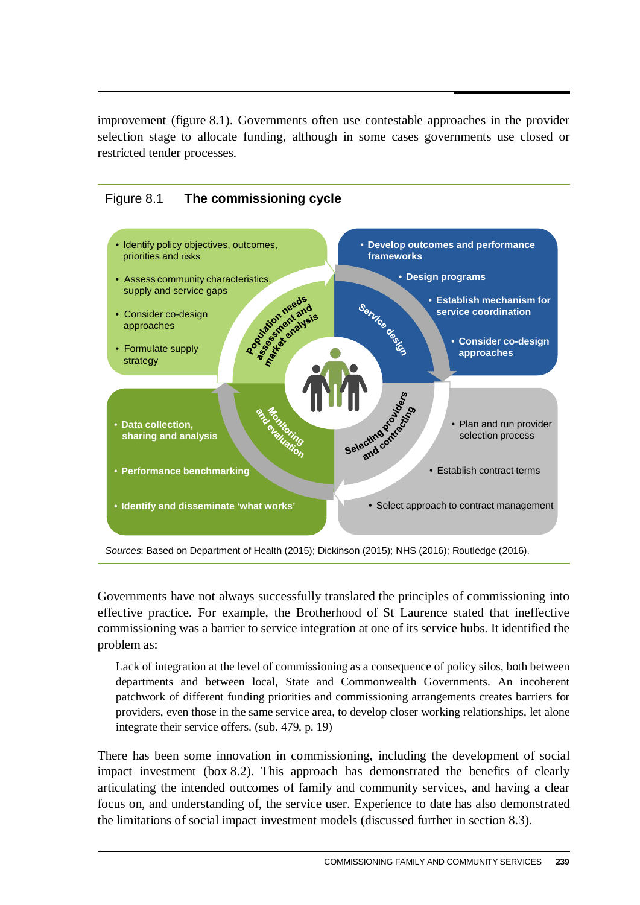improvement (figure 8.1). Governments often use contestable approaches in the provider selection stage to allocate funding, although in some cases governments use closed or restricted tender processes.





*Sources*: Based on Department of Health (2015); Dickinson (2015); NHS (2016); Routledge (2016).

Governments have not always successfully translated the principles of commissioning into effective practice. For example, the Brotherhood of St Laurence stated that ineffective commissioning was a barrier to service integration at one of its service hubs. It identified the problem as:

Lack of integration at the level of commissioning as a consequence of policy silos, both between departments and between local, State and Commonwealth Governments. An incoherent patchwork of different funding priorities and commissioning arrangements creates barriers for providers, even those in the same service area, to develop closer working relationships, let alone integrate their service offers. (sub. 479, p. 19)

There has been some innovation in commissioning, including the development of social impact investment (box 8.2). This approach has demonstrated the benefits of clearly articulating the intended outcomes of family and community services, and having a clear focus on, and understanding of, the service user. Experience to date has also demonstrated the limitations of social impact investment models (discussed further in section 8.3).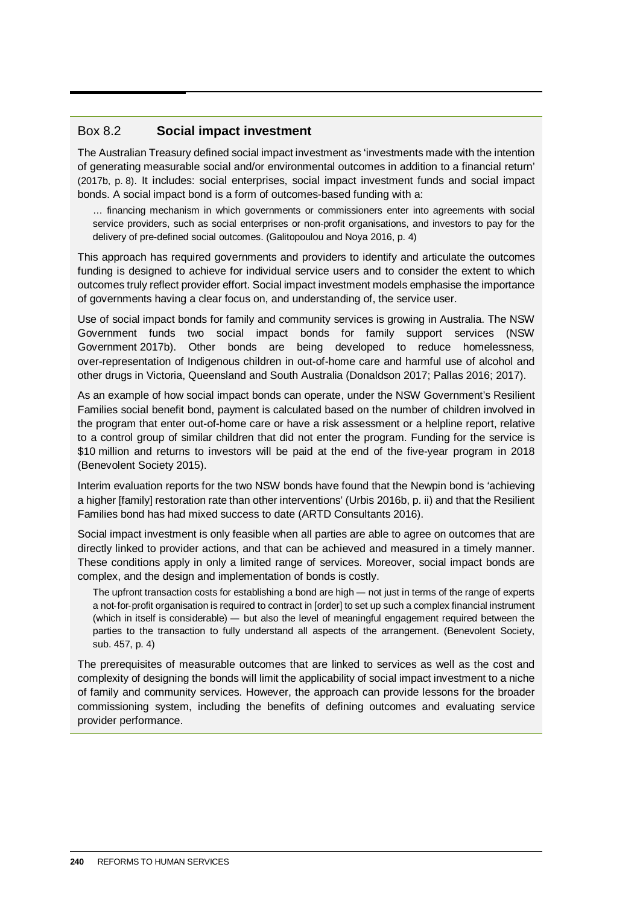#### Box 8.2 **Social impact investment**

The Australian Treasury defined social impact investment as 'investments made with the intention of generating measurable social and/or environmental outcomes in addition to a financial return' (2017b, p. 8). It includes: social enterprises, social impact investment funds and social impact bonds. A social impact bond is a form of outcomes-based funding with a:

… financing mechanism in which governments or commissioners enter into agreements with social service providers, such as social enterprises or non-profit organisations, and investors to pay for the delivery of pre-defined social outcomes. (Galitopoulou and Noya 2016, p. 4)

This approach has required governments and providers to identify and articulate the outcomes funding is designed to achieve for individual service users and to consider the extent to which outcomes truly reflect provider effort. Social impact investment models emphasise the importance of governments having a clear focus on, and understanding of, the service user.

Use of social impact bonds for family and community services is growing in Australia. The NSW Government funds two social impact bonds for family support services (NSW Government 2017b). Other bonds are being developed to reduce homelessness, over-representation of Indigenous children in out-of-home care and harmful use of alcohol and other drugs in Victoria, Queensland and South Australia (Donaldson 2017; Pallas 2016; 2017).

As an example of how social impact bonds can operate, under the NSW Government's Resilient Families social benefit bond, payment is calculated based on the number of children involved in the program that enter out-of-home care or have a risk assessment or a helpline report, relative to a control group of similar children that did not enter the program. Funding for the service is \$10 million and returns to investors will be paid at the end of the five-year program in 2018 (Benevolent Society 2015).

Interim evaluation reports for the two NSW bonds have found that the Newpin bond is 'achieving a higher [family] restoration rate than other interventions' (Urbis 2016b, p. ii) and that the Resilient Families bond has had mixed success to date (ARTD Consultants 2016).

Social impact investment is only feasible when all parties are able to agree on outcomes that are directly linked to provider actions, and that can be achieved and measured in a timely manner. These conditions apply in only a limited range of services. Moreover, social impact bonds are complex, and the design and implementation of bonds is costly.

The upfront transaction costs for establishing a bond are high — not just in terms of the range of experts a not-for-profit organisation is required to contract in [order] to set up such a complex financial instrument (which in itself is considerable) — but also the level of meaningful engagement required between the parties to the transaction to fully understand all aspects of the arrangement. (Benevolent Society, sub. 457, p. 4)

The prerequisites of measurable outcomes that are linked to services as well as the cost and complexity of designing the bonds will limit the applicability of social impact investment to a niche of family and community services. However, the approach can provide lessons for the broader commissioning system, including the benefits of defining outcomes and evaluating service provider performance.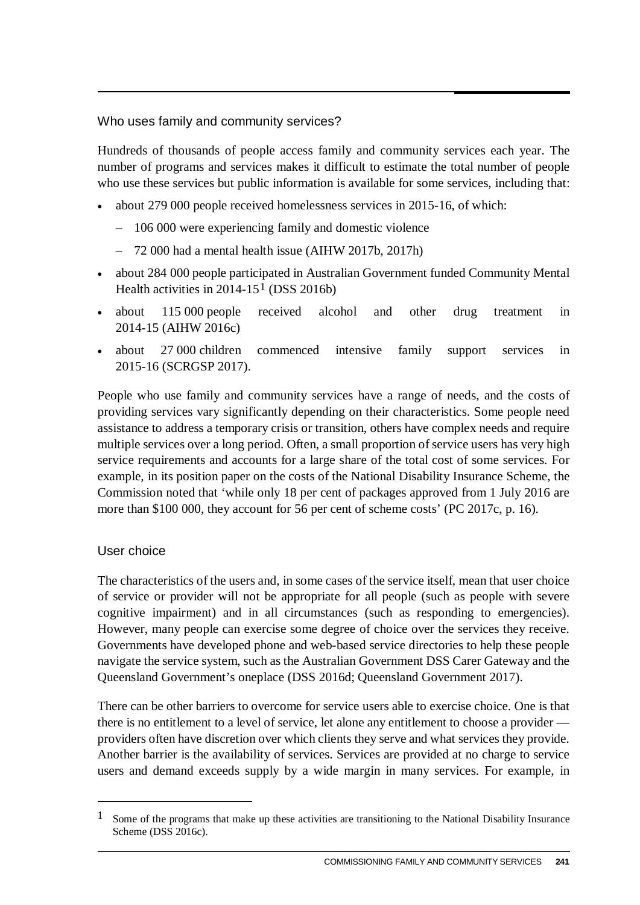#### Who uses family and community services?

Hundreds of thousands of people access family and community services each year. The number of programs and services makes it difficult to estimate the total number of people who use these services but public information is available for some services, including that:

- about 279 000 people received homelessness services in 2015-16, of which:
	- 106 000 were experiencing family and domestic violence
	- 72 000 had a mental health issue (AIHW 2017b, 2017h)
- about 284 000 people participated in Australian Government funded Community Mental Health activities in 20[1](#page-6-0)4-15<sup>1</sup> (DSS 2016b)
- about 115 000 people received alcohol and other drug treatment in 2014-15 (AIHW 2016c)
- about 27 000 children commenced intensive family support services in 2015-16 (SCRGSP 2017).

People who use family and community services have a range of needs, and the costs of providing services vary significantly depending on their characteristics. Some people need assistance to address a temporary crisis or transition, others have complex needs and require multiple services over a long period. Often, a small proportion of service users has very high service requirements and accounts for a large share of the total cost of some services. For example, in its position paper on the costs of the National Disability Insurance Scheme, the Commission noted that 'while only 18 per cent of packages approved from 1 July 2016 are more than \$100 000, they account for 56 per cent of scheme costs' (PC 2017c, p. 16).

#### User choice

 $\overline{a}$ 

The characteristics of the users and, in some cases of the service itself, mean that user choice of service or provider will not be appropriate for all people (such as people with severe cognitive impairment) and in all circumstances (such as responding to emergencies). However, many people can exercise some degree of choice over the services they receive. Governments have developed phone and web-based service directories to help these people navigate the service system, such as the Australian Government DSS Carer Gateway and the Queensland Government's oneplace (DSS 2016d; Queensland Government 2017).

There can be other barriers to overcome for service users able to exercise choice. One is that there is no entitlement to a level of service, let alone any entitlement to choose a provider providers often have discretion over which clients they serve and what services they provide. Another barrier is the availability of services. Services are provided at no charge to service users and demand exceeds supply by a wide margin in many services. For example, in

<span id="page-6-0"></span><sup>&</sup>lt;sup>1</sup> Some of the programs that make up these activities are transitioning to the National Disability Insurance Scheme (DSS 2016c).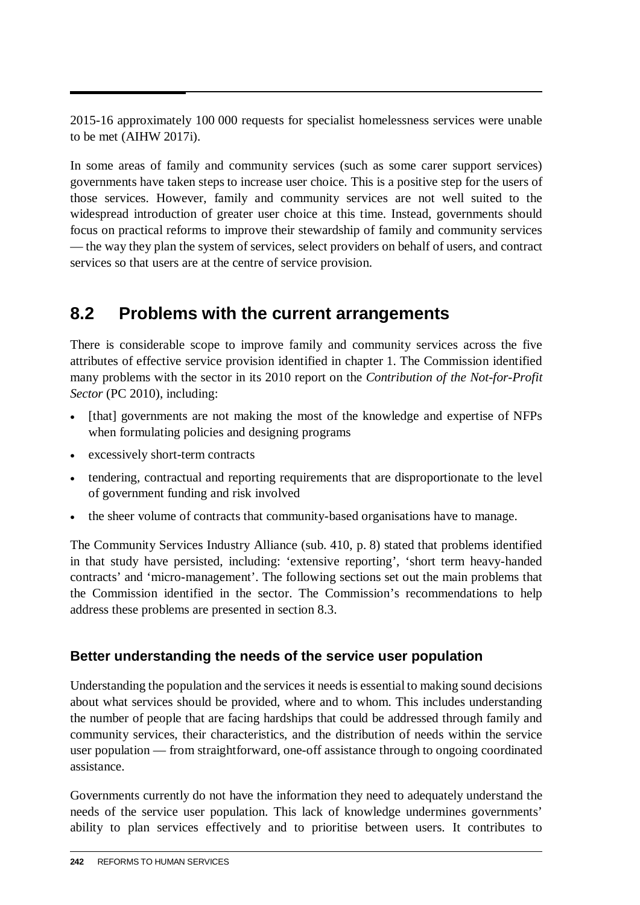2015-16 approximately 100 000 requests for specialist homelessness services were unable to be met (AIHW 2017i).

In some areas of family and community services (such as some carer support services) governments have taken steps to increase user choice. This is a positive step for the users of those services. However, family and community services are not well suited to the widespread introduction of greater user choice at this time. Instead, governments should focus on practical reforms to improve their stewardship of family and community services — the way they plan the system of services, select providers on behalf of users, and contract services so that users are at the centre of service provision.

# **8.2 Problems with the current arrangements**

There is considerable scope to improve family and community services across the five attributes of effective service provision identified in chapter 1. The Commission identified many problems with the sector in its 2010 report on the *Contribution of the Not-for-Profit Sector* (PC 2010), including:

- [that] governments are not making the most of the knowledge and expertise of NFPs when formulating policies and designing programs
- excessively short-term contracts
- tendering, contractual and reporting requirements that are disproportionate to the level of government funding and risk involved
- the sheer volume of contracts that community-based organisations have to manage.

The Community Services Industry Alliance (sub. 410, p. 8) stated that problems identified in that study have persisted, including: 'extensive reporting', 'short term heavy-handed contracts' and 'micro-management'. The following sections set out the main problems that the Commission identified in the sector. The Commission's recommendations to help address these problems are presented in section 8.3.

# **Better understanding the needs of the service user population**

Understanding the population and the services it needs is essential to making sound decisions about what services should be provided, where and to whom. This includes understanding the number of people that are facing hardships that could be addressed through family and community services, their characteristics, and the distribution of needs within the service user population — from straightforward, one-off assistance through to ongoing coordinated assistance.

Governments currently do not have the information they need to adequately understand the needs of the service user population. This lack of knowledge undermines governments' ability to plan services effectively and to prioritise between users. It contributes to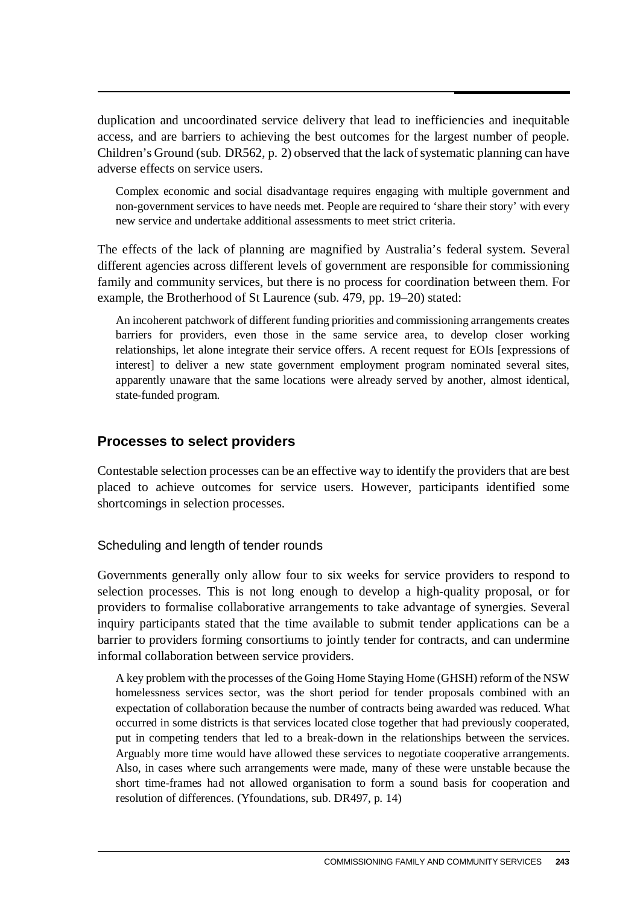duplication and uncoordinated service delivery that lead to inefficiencies and inequitable access, and are barriers to achieving the best outcomes for the largest number of people. Children's Ground (sub. DR562, p. 2) observed that the lack of systematic planning can have adverse effects on service users.

Complex economic and social disadvantage requires engaging with multiple government and non-government services to have needs met. People are required to 'share their story' with every new service and undertake additional assessments to meet strict criteria.

The effects of the lack of planning are magnified by Australia's federal system. Several different agencies across different levels of government are responsible for commissioning family and community services, but there is no process for coordination between them. For example, the Brotherhood of St Laurence (sub. 479, pp. 19–20) stated:

An incoherent patchwork of different funding priorities and commissioning arrangements creates barriers for providers, even those in the same service area, to develop closer working relationships, let alone integrate their service offers. A recent request for EOIs [expressions of interest] to deliver a new state government employment program nominated several sites, apparently unaware that the same locations were already served by another, almost identical, state-funded program.

#### **Processes to select providers**

Contestable selection processes can be an effective way to identify the providers that are best placed to achieve outcomes for service users. However, participants identified some shortcomings in selection processes.

#### Scheduling and length of tender rounds

Governments generally only allow four to six weeks for service providers to respond to selection processes. This is not long enough to develop a high-quality proposal, or for providers to formalise collaborative arrangements to take advantage of synergies. Several inquiry participants stated that the time available to submit tender applications can be a barrier to providers forming consortiums to jointly tender for contracts, and can undermine informal collaboration between service providers.

A key problem with the processes of the Going Home Staying Home (GHSH) reform of the NSW homelessness services sector, was the short period for tender proposals combined with an expectation of collaboration because the number of contracts being awarded was reduced. What occurred in some districts is that services located close together that had previously cooperated, put in competing tenders that led to a break-down in the relationships between the services. Arguably more time would have allowed these services to negotiate cooperative arrangements. Also, in cases where such arrangements were made, many of these were unstable because the short time-frames had not allowed organisation to form a sound basis for cooperation and resolution of differences. (Yfoundations, sub. DR497, p. 14)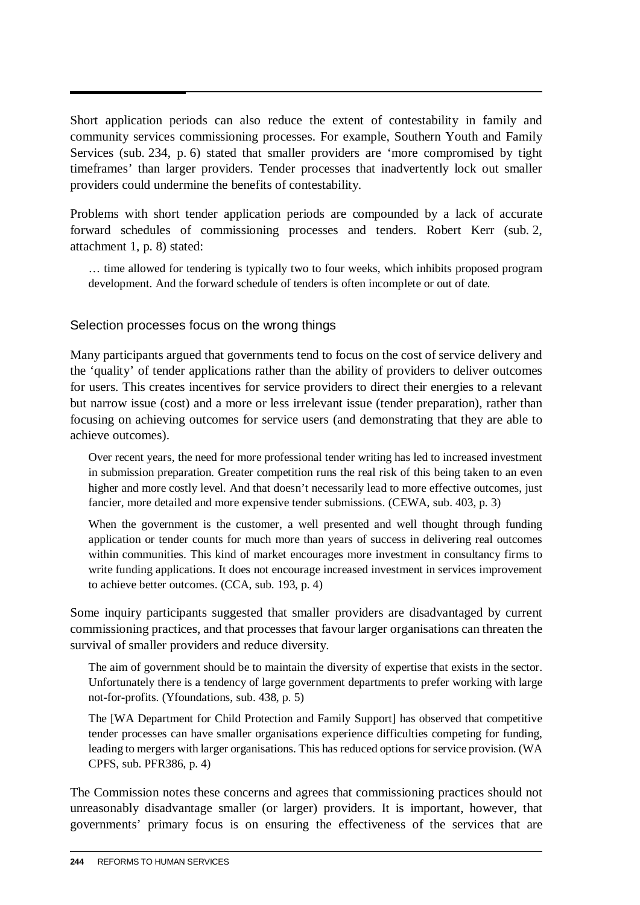Short application periods can also reduce the extent of contestability in family and community services commissioning processes. For example, Southern Youth and Family Services (sub. 234, p. 6) stated that smaller providers are 'more compromised by tight timeframes' than larger providers. Tender processes that inadvertently lock out smaller providers could undermine the benefits of contestability.

Problems with short tender application periods are compounded by a lack of accurate forward schedules of commissioning processes and tenders. Robert Kerr (sub. 2, attachment 1, p. 8) stated:

… time allowed for tendering is typically two to four weeks, which inhibits proposed program development. And the forward schedule of tenders is often incomplete or out of date.

#### Selection processes focus on the wrong things

Many participants argued that governments tend to focus on the cost of service delivery and the 'quality' of tender applications rather than the ability of providers to deliver outcomes for users. This creates incentives for service providers to direct their energies to a relevant but narrow issue (cost) and a more or less irrelevant issue (tender preparation), rather than focusing on achieving outcomes for service users (and demonstrating that they are able to achieve outcomes).

Over recent years, the need for more professional tender writing has led to increased investment in submission preparation. Greater competition runs the real risk of this being taken to an even higher and more costly level. And that doesn't necessarily lead to more effective outcomes, just fancier, more detailed and more expensive tender submissions. (CEWA, sub. 403, p. 3)

When the government is the customer, a well presented and well thought through funding application or tender counts for much more than years of success in delivering real outcomes within communities. This kind of market encourages more investment in consultancy firms to write funding applications. It does not encourage increased investment in services improvement to achieve better outcomes. (CCA, sub. 193, p. 4)

Some inquiry participants suggested that smaller providers are disadvantaged by current commissioning practices, and that processes that favour larger organisations can threaten the survival of smaller providers and reduce diversity.

The aim of government should be to maintain the diversity of expertise that exists in the sector. Unfortunately there is a tendency of large government departments to prefer working with large not-for-profits. (Yfoundations, sub. 438, p. 5)

The [WA Department for Child Protection and Family Support] has observed that competitive tender processes can have smaller organisations experience difficulties competing for funding, leading to mergers with larger organisations. This has reduced options for service provision. (WA CPFS, sub. PFR386, p. 4)

The Commission notes these concerns and agrees that commissioning practices should not unreasonably disadvantage smaller (or larger) providers. It is important, however, that governments' primary focus is on ensuring the effectiveness of the services that are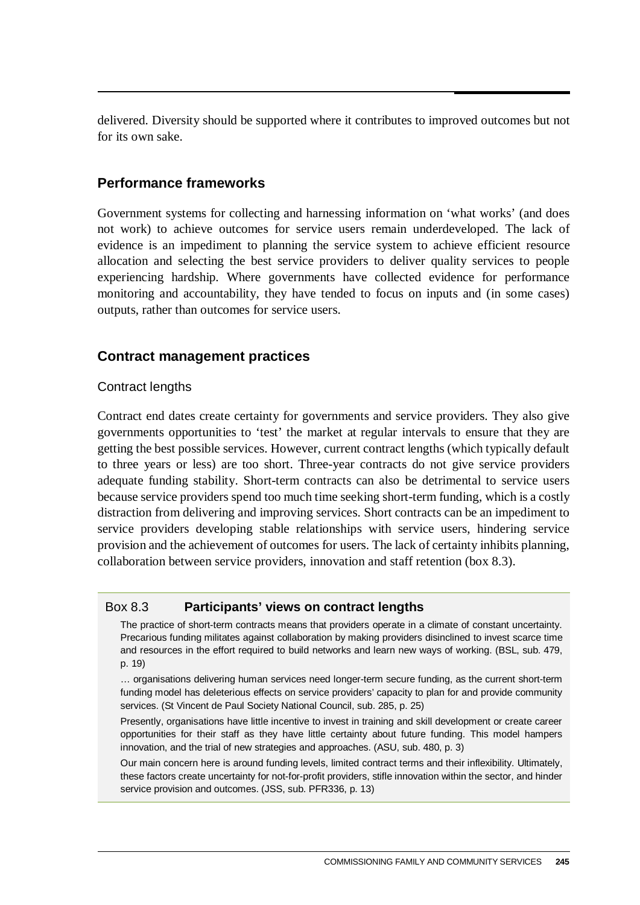delivered. Diversity should be supported where it contributes to improved outcomes but not for its own sake.

#### **Performance frameworks**

Government systems for collecting and harnessing information on 'what works' (and does not work) to achieve outcomes for service users remain underdeveloped. The lack of evidence is an impediment to planning the service system to achieve efficient resource allocation and selecting the best service providers to deliver quality services to people experiencing hardship. Where governments have collected evidence for performance monitoring and accountability, they have tended to focus on inputs and (in some cases) outputs, rather than outcomes for service users.

#### **Contract management practices**

#### Contract lengths

Contract end dates create certainty for governments and service providers. They also give governments opportunities to 'test' the market at regular intervals to ensure that they are getting the best possible services. However, current contract lengths (which typically default to three years or less) are too short. Three-year contracts do not give service providers adequate funding stability. Short-term contracts can also be detrimental to service users because service providers spend too much time seeking short-term funding, which is a costly distraction from delivering and improving services. Short contracts can be an impediment to service providers developing stable relationships with service users, hindering service provision and the achievement of outcomes for users. The lack of certainty inhibits planning, collaboration between service providers, innovation and staff retention (box 8.3).

#### Box 8.3 **Participants' views on contract lengths**

The practice of short-term contracts means that providers operate in a climate of constant uncertainty. Precarious funding militates against collaboration by making providers disinclined to invest scarce time and resources in the effort required to build networks and learn new ways of working. (BSL, sub. 479, p. 19)

… organisations delivering human services need longer-term secure funding, as the current short-term funding model has deleterious effects on service providers' capacity to plan for and provide community services. (St Vincent de Paul Society National Council, sub. 285, p. 25)

Presently, organisations have little incentive to invest in training and skill development or create career opportunities for their staff as they have little certainty about future funding. This model hampers innovation, and the trial of new strategies and approaches. (ASU, sub. 480, p. 3)

Our main concern here is around funding levels, limited contract terms and their inflexibility. Ultimately, these factors create uncertainty for not-for-profit providers, stifle innovation within the sector, and hinder service provision and outcomes. (JSS, sub. PFR336, p. 13)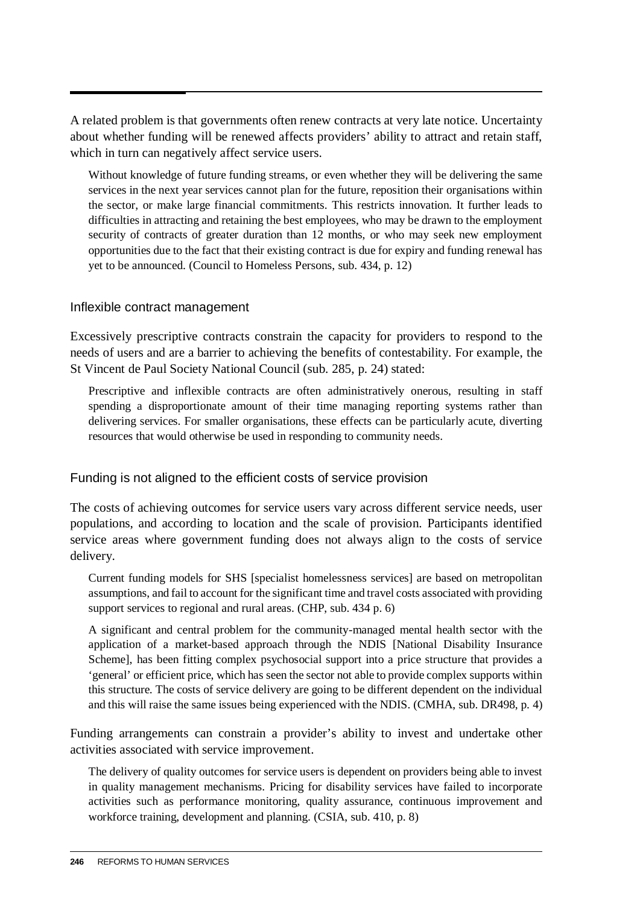A related problem is that governments often renew contracts at very late notice. Uncertainty about whether funding will be renewed affects providers' ability to attract and retain staff, which in turn can negatively affect service users.

Without knowledge of future funding streams, or even whether they will be delivering the same services in the next year services cannot plan for the future, reposition their organisations within the sector, or make large financial commitments. This restricts innovation. It further leads to difficulties in attracting and retaining the best employees, who may be drawn to the employment security of contracts of greater duration than 12 months, or who may seek new employment opportunities due to the fact that their existing contract is due for expiry and funding renewal has yet to be announced. (Council to Homeless Persons, sub. 434, p. 12)

#### Inflexible contract management

Excessively prescriptive contracts constrain the capacity for providers to respond to the needs of users and are a barrier to achieving the benefits of contestability. For example, the St Vincent de Paul Society National Council (sub. 285, p. 24) stated:

Prescriptive and inflexible contracts are often administratively onerous, resulting in staff spending a disproportionate amount of their time managing reporting systems rather than delivering services. For smaller organisations, these effects can be particularly acute, diverting resources that would otherwise be used in responding to community needs.

#### Funding is not aligned to the efficient costs of service provision

The costs of achieving outcomes for service users vary across different service needs, user populations, and according to location and the scale of provision. Participants identified service areas where government funding does not always align to the costs of service delivery.

Current funding models for SHS [specialist homelessness services] are based on metropolitan assumptions, and fail to account for the significant time and travel costs associated with providing support services to regional and rural areas. (CHP, sub. 434 p. 6)

A significant and central problem for the community-managed mental health sector with the application of a market-based approach through the NDIS [National Disability Insurance Scheme], has been fitting complex psychosocial support into a price structure that provides a 'general' or efficient price, which has seen the sector not able to provide complex supports within this structure. The costs of service delivery are going to be different dependent on the individual and this will raise the same issues being experienced with the NDIS. (CMHA, sub. DR498, p. 4)

Funding arrangements can constrain a provider's ability to invest and undertake other activities associated with service improvement.

The delivery of quality outcomes for service users is dependent on providers being able to invest in quality management mechanisms. Pricing for disability services have failed to incorporate activities such as performance monitoring, quality assurance, continuous improvement and workforce training, development and planning. (CSIA, sub. 410, p. 8)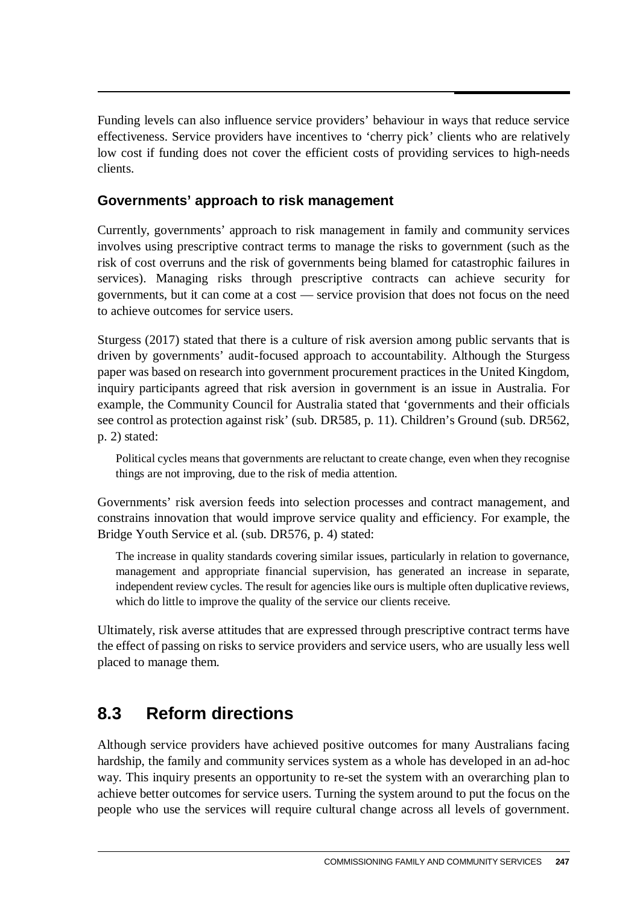Funding levels can also influence service providers' behaviour in ways that reduce service effectiveness. Service providers have incentives to 'cherry pick' clients who are relatively low cost if funding does not cover the efficient costs of providing services to high-needs clients.

## **Governments' approach to risk management**

Currently, governments' approach to risk management in family and community services involves using prescriptive contract terms to manage the risks to government (such as the risk of cost overruns and the risk of governments being blamed for catastrophic failures in services). Managing risks through prescriptive contracts can achieve security for governments, but it can come at a cost — service provision that does not focus on the need to achieve outcomes for service users.

Sturgess (2017) stated that there is a culture of risk aversion among public servants that is driven by governments' audit-focused approach to accountability. Although the Sturgess paper was based on research into government procurement practices in the United Kingdom, inquiry participants agreed that risk aversion in government is an issue in Australia. For example, the Community Council for Australia stated that 'governments and their officials see control as protection against risk' (sub. DR585, p. 11). Children's Ground (sub. DR562, p. 2) stated:

Political cycles means that governments are reluctant to create change, even when they recognise things are not improving, due to the risk of media attention.

Governments' risk aversion feeds into selection processes and contract management, and constrains innovation that would improve service quality and efficiency. For example, the Bridge Youth Service et al. (sub. DR576, p. 4) stated:

The increase in quality standards covering similar issues, particularly in relation to governance, management and appropriate financial supervision, has generated an increase in separate, independent review cycles. The result for agencies like ours is multiple often duplicative reviews, which do little to improve the quality of the service our clients receive.

Ultimately, risk averse attitudes that are expressed through prescriptive contract terms have the effect of passing on risks to service providers and service users, who are usually less well placed to manage them.

# **8.3 Reform directions**

Although service providers have achieved positive outcomes for many Australians facing hardship, the family and community services system as a whole has developed in an ad-hoc way. This inquiry presents an opportunity to re-set the system with an overarching plan to achieve better outcomes for service users. Turning the system around to put the focus on the people who use the services will require cultural change across all levels of government.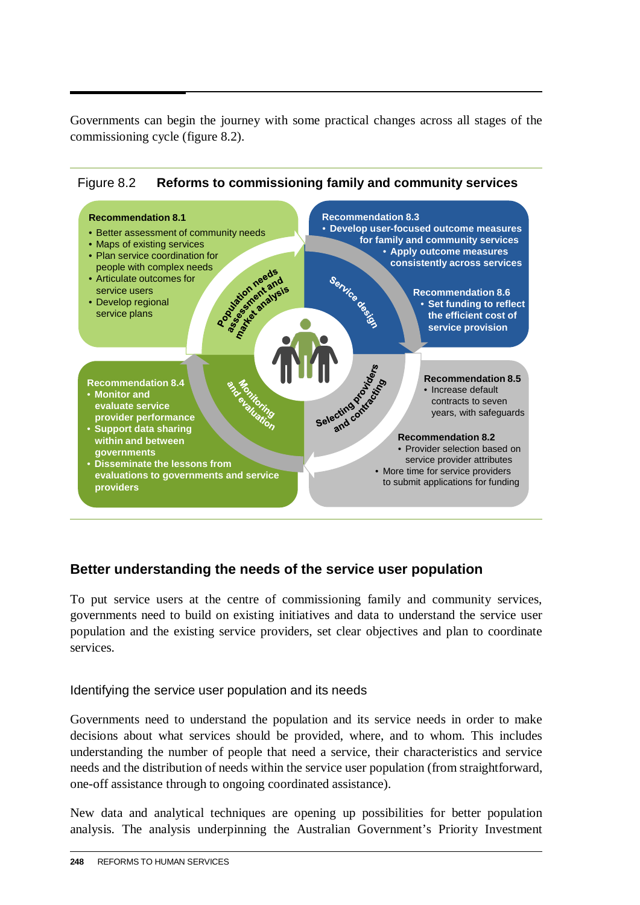Governments can begin the journey with some practical changes across all stages of the commissioning cycle (figure 8.2).





## **Better understanding the needs of the service user population**

To put service users at the centre of commissioning family and community services, governments need to build on existing initiatives and data to understand the service user population and the existing service providers, set clear objectives and plan to coordinate services.

#### Identifying the service user population and its needs

Governments need to understand the population and its service needs in order to make decisions about what services should be provided, where, and to whom. This includes understanding the number of people that need a service, their characteristics and service needs and the distribution of needs within the service user population (from straightforward, one-off assistance through to ongoing coordinated assistance).

New data and analytical techniques are opening up possibilities for better population analysis. The analysis underpinning the Australian Government's Priority Investment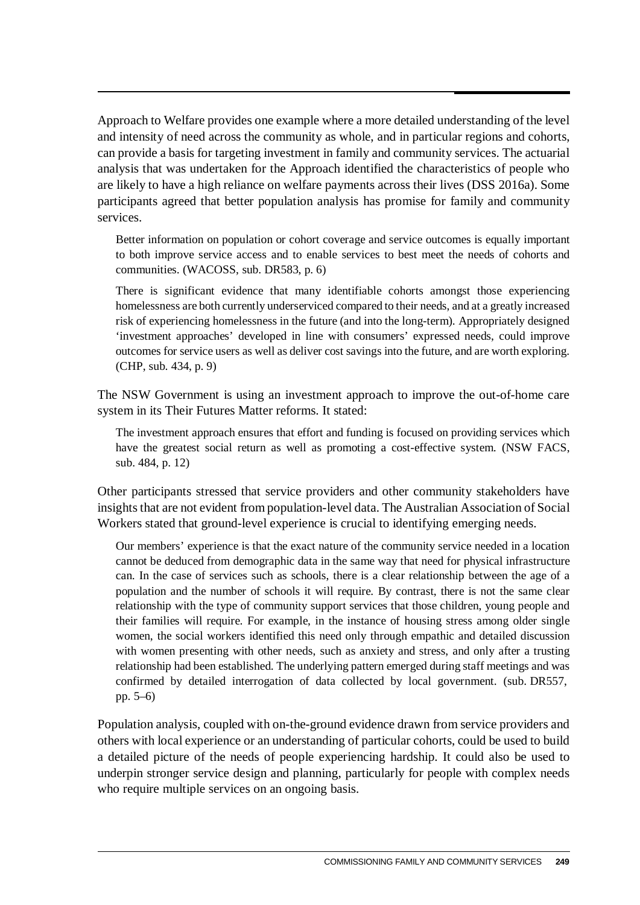Approach to Welfare provides one example where a more detailed understanding of the level and intensity of need across the community as whole, and in particular regions and cohorts, can provide a basis for targeting investment in family and community services. The actuarial analysis that was undertaken for the Approach identified the characteristics of people who are likely to have a high reliance on welfare payments across their lives (DSS 2016a). Some participants agreed that better population analysis has promise for family and community services.

Better information on population or cohort coverage and service outcomes is equally important to both improve service access and to enable services to best meet the needs of cohorts and communities. (WACOSS, sub. DR583, p. 6)

There is significant evidence that many identifiable cohorts amongst those experiencing homelessness are both currently underserviced compared to their needs, and at a greatly increased risk of experiencing homelessness in the future (and into the long-term). Appropriately designed 'investment approaches' developed in line with consumers' expressed needs, could improve outcomes for service users as well as deliver cost savings into the future, and are worth exploring. (CHP, sub. 434, p. 9)

The NSW Government is using an investment approach to improve the out-of-home care system in its Their Futures Matter reforms. It stated:

The investment approach ensures that effort and funding is focused on providing services which have the greatest social return as well as promoting a cost-effective system. (NSW FACS, sub. 484, p. 12)

Other participants stressed that service providers and other community stakeholders have insights that are not evident from population-level data. The Australian Association of Social Workers stated that ground-level experience is crucial to identifying emerging needs.

Our members' experience is that the exact nature of the community service needed in a location cannot be deduced from demographic data in the same way that need for physical infrastructure can. In the case of services such as schools, there is a clear relationship between the age of a population and the number of schools it will require. By contrast, there is not the same clear relationship with the type of community support services that those children, young people and their families will require. For example, in the instance of housing stress among older single women, the social workers identified this need only through empathic and detailed discussion with women presenting with other needs, such as anxiety and stress, and only after a trusting relationship had been established. The underlying pattern emerged during staff meetings and was confirmed by detailed interrogation of data collected by local government. (sub. DR557, pp. 5–6)

Population analysis, coupled with on-the-ground evidence drawn from service providers and others with local experience or an understanding of particular cohorts, could be used to build a detailed picture of the needs of people experiencing hardship. It could also be used to underpin stronger service design and planning, particularly for people with complex needs who require multiple services on an ongoing basis.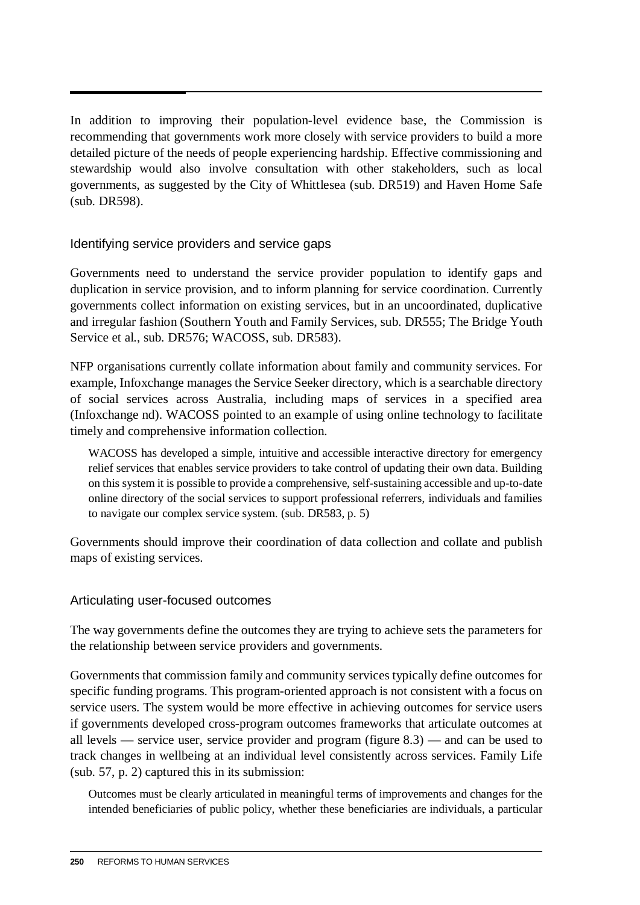In addition to improving their population-level evidence base, the Commission is recommending that governments work more closely with service providers to build a more detailed picture of the needs of people experiencing hardship. Effective commissioning and stewardship would also involve consultation with other stakeholders, such as local governments, as suggested by the City of Whittlesea (sub. DR519) and Haven Home Safe (sub. DR598).

#### Identifying service providers and service gaps

Governments need to understand the service provider population to identify gaps and duplication in service provision, and to inform planning for service coordination. Currently governments collect information on existing services, but in an uncoordinated, duplicative and irregular fashion (Southern Youth and Family Services, sub. DR555; The Bridge Youth Service et al., sub. DR576; WACOSS, sub. DR583).

NFP organisations currently collate information about family and community services. For example, Infoxchange manages the Service Seeker directory, which is a searchable directory of social services across Australia, including maps of services in a specified area (Infoxchange nd). WACOSS pointed to an example of using online technology to facilitate timely and comprehensive information collection.

WACOSS has developed a simple, intuitive and accessible interactive directory for emergency relief services that enables service providers to take control of updating their own data. Building on this system it is possible to provide a comprehensive, self-sustaining accessible and up-to-date online directory of the social services to support professional referrers, individuals and families to navigate our complex service system. (sub. DR583, p. 5)

Governments should improve their coordination of data collection and collate and publish maps of existing services.

#### Articulating user-focused outcomes

The way governments define the outcomes they are trying to achieve sets the parameters for the relationship between service providers and governments.

Governments that commission family and community services typically define outcomes for specific funding programs. This program-oriented approach is not consistent with a focus on service users. The system would be more effective in achieving outcomes for service users if governments developed cross-program outcomes frameworks that articulate outcomes at all levels — service user, service provider and program (figure 8.3) — and can be used to track changes in wellbeing at an individual level consistently across services. Family Life (sub. 57, p. 2) captured this in its submission:

Outcomes must be clearly articulated in meaningful terms of improvements and changes for the intended beneficiaries of public policy, whether these beneficiaries are individuals, a particular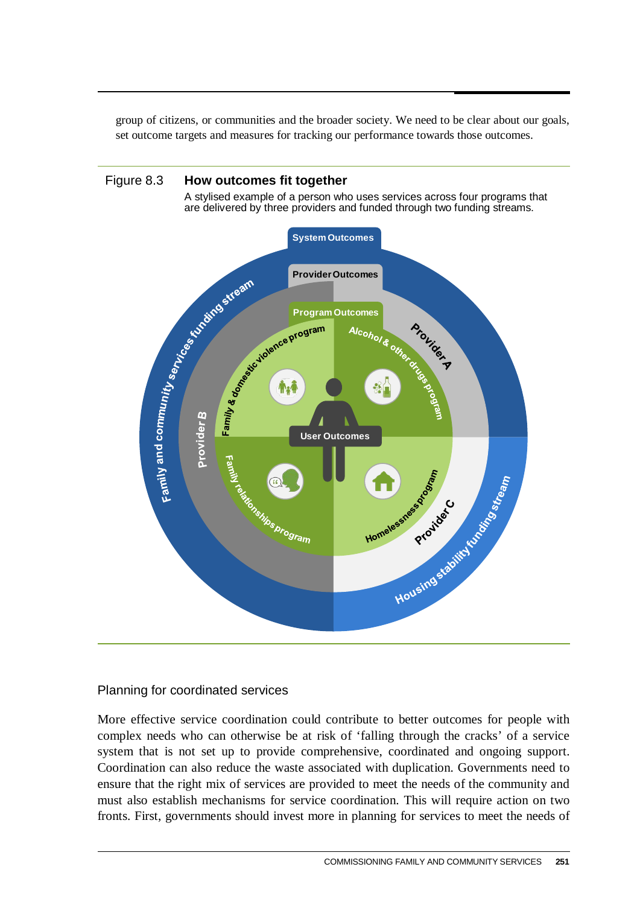group of citizens, or communities and the broader society. We need to be clear about our goals, set outcome targets and measures for tracking our performance towards those outcomes.



#### Planning for coordinated services

More effective service coordination could contribute to better outcomes for people with complex needs who can otherwise be at risk of 'falling through the cracks' of a service system that is not set up to provide comprehensive, coordinated and ongoing support. Coordination can also reduce the waste associated with duplication. Governments need to ensure that the right mix of services are provided to meet the needs of the community and must also establish mechanisms for service coordination. This will require action on two fronts. First, governments should invest more in planning for services to meet the needs of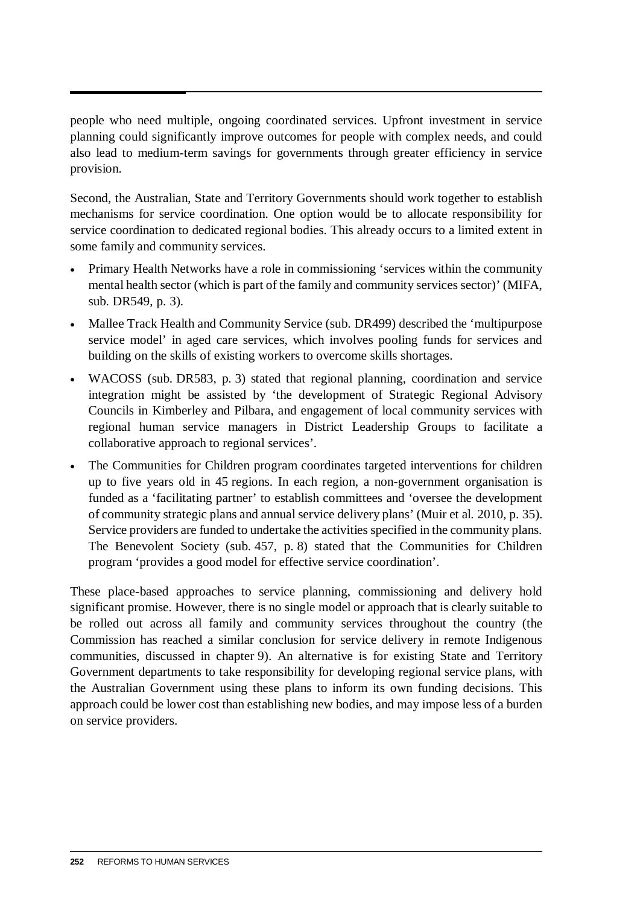people who need multiple, ongoing coordinated services. Upfront investment in service planning could significantly improve outcomes for people with complex needs, and could also lead to medium-term savings for governments through greater efficiency in service provision.

Second, the Australian, State and Territory Governments should work together to establish mechanisms for service coordination. One option would be to allocate responsibility for service coordination to dedicated regional bodies. This already occurs to a limited extent in some family and community services.

- Primary Health Networks have a role in commissioning 'services within the community mental health sector (which is part of the family and community services sector)' (MIFA, sub. DR549, p. 3).
- Mallee Track Health and Community Service (sub. DR499) described the 'multipurpose service model' in aged care services, which involves pooling funds for services and building on the skills of existing workers to overcome skills shortages.
- WACOSS (sub. DR583, p. 3) stated that regional planning, coordination and service integration might be assisted by 'the development of Strategic Regional Advisory Councils in Kimberley and Pilbara, and engagement of local community services with regional human service managers in District Leadership Groups to facilitate a collaborative approach to regional services'.
- The Communities for Children program coordinates targeted interventions for children up to five years old in 45 regions. In each region, a non-government organisation is funded as a 'facilitating partner' to establish committees and 'oversee the development of community strategic plans and annual service delivery plans' (Muir et al. 2010, p. 35). Service providers are funded to undertake the activities specified in the community plans. The Benevolent Society (sub. 457, p. 8) stated that the Communities for Children program 'provides a good model for effective service coordination'.

These place-based approaches to service planning, commissioning and delivery hold significant promise. However, there is no single model or approach that is clearly suitable to be rolled out across all family and community services throughout the country (the Commission has reached a similar conclusion for service delivery in remote Indigenous communities, discussed in chapter 9). An alternative is for existing State and Territory Government departments to take responsibility for developing regional service plans, with the Australian Government using these plans to inform its own funding decisions. This approach could be lower cost than establishing new bodies, and may impose less of a burden on service providers.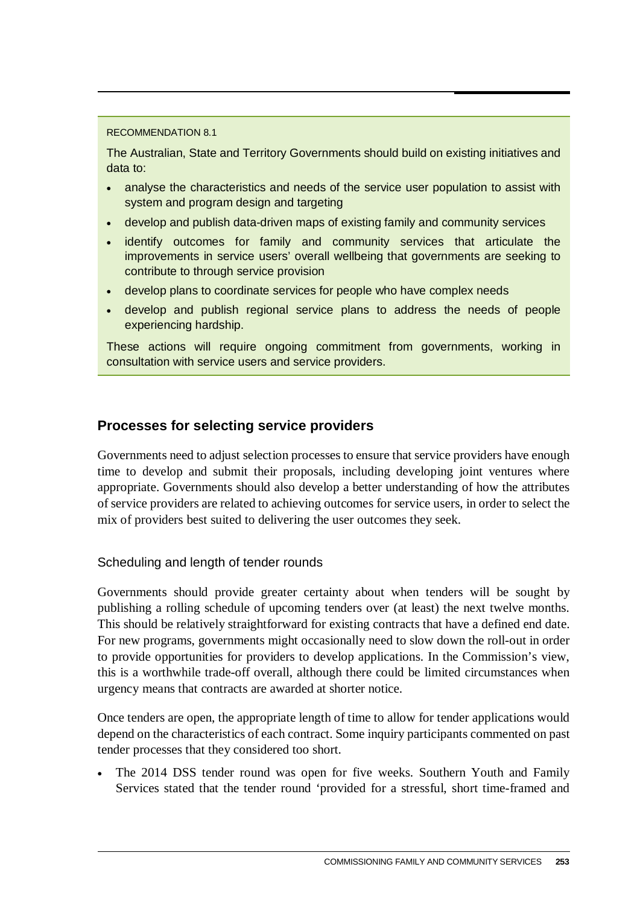#### RECOMMENDATION 8.1

The Australian, State and Territory Governments should build on existing initiatives and data to:

- analyse the characteristics and needs of the service user population to assist with system and program design and targeting
- develop and publish data-driven maps of existing family and community services
- identify outcomes for family and community services that articulate the improvements in service users' overall wellbeing that governments are seeking to contribute to through service provision
- develop plans to coordinate services for people who have complex needs
- develop and publish regional service plans to address the needs of people experiencing hardship.

These actions will require ongoing commitment from governments, working in consultation with service users and service providers.

#### **Processes for selecting service providers**

Governments need to adjust selection processes to ensure that service providers have enough time to develop and submit their proposals, including developing joint ventures where appropriate. Governments should also develop a better understanding of how the attributes of service providers are related to achieving outcomes for service users, in order to select the mix of providers best suited to delivering the user outcomes they seek.

#### Scheduling and length of tender rounds

Governments should provide greater certainty about when tenders will be sought by publishing a rolling schedule of upcoming tenders over (at least) the next twelve months. This should be relatively straightforward for existing contracts that have a defined end date. For new programs, governments might occasionally need to slow down the roll-out in order to provide opportunities for providers to develop applications. In the Commission's view, this is a worthwhile trade-off overall, although there could be limited circumstances when urgency means that contracts are awarded at shorter notice.

Once tenders are open, the appropriate length of time to allow for tender applications would depend on the characteristics of each contract. Some inquiry participants commented on past tender processes that they considered too short.

The 2014 DSS tender round was open for five weeks. Southern Youth and Family Services stated that the tender round 'provided for a stressful, short time-framed and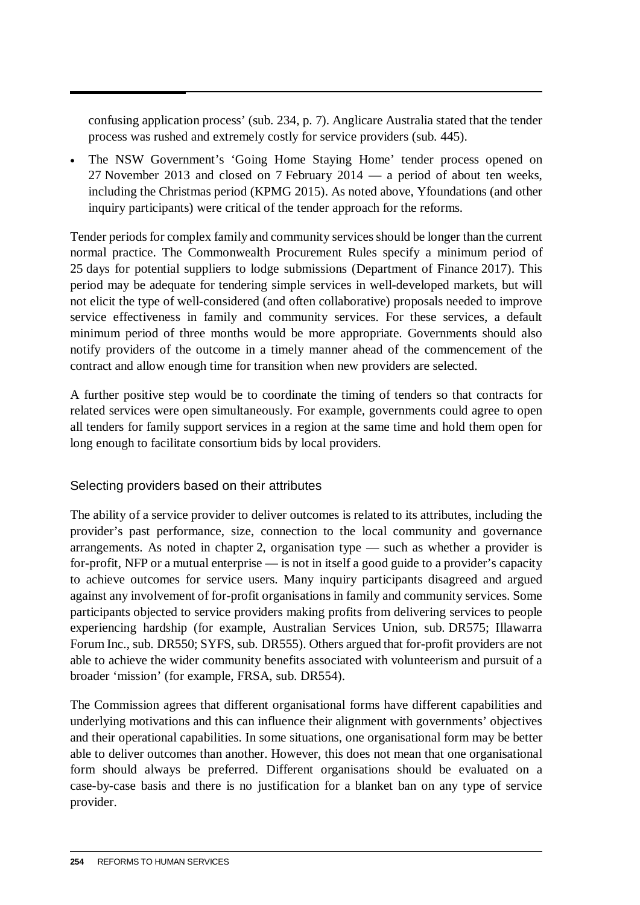confusing application process' (sub. 234, p. 7). Anglicare Australia stated that the tender process was rushed and extremely costly for service providers (sub. 445).

• The NSW Government's 'Going Home Staying Home' tender process opened on 27 November 2013 and closed on 7 February 2014 — a period of about ten weeks, including the Christmas period (KPMG 2015). As noted above, Yfoundations (and other inquiry participants) were critical of the tender approach for the reforms.

Tender periods for complex family and community services should be longer than the current normal practice. The Commonwealth Procurement Rules specify a minimum period of 25 days for potential suppliers to lodge submissions (Department of Finance 2017). This period may be adequate for tendering simple services in well-developed markets, but will not elicit the type of well-considered (and often collaborative) proposals needed to improve service effectiveness in family and community services. For these services, a default minimum period of three months would be more appropriate. Governments should also notify providers of the outcome in a timely manner ahead of the commencement of the contract and allow enough time for transition when new providers are selected.

A further positive step would be to coordinate the timing of tenders so that contracts for related services were open simultaneously. For example, governments could agree to open all tenders for family support services in a region at the same time and hold them open for long enough to facilitate consortium bids by local providers.

#### Selecting providers based on their attributes

The ability of a service provider to deliver outcomes is related to its attributes, including the provider's past performance, size, connection to the local community and governance arrangements. As noted in chapter 2, organisation type — such as whether a provider is for-profit, NFP or a mutual enterprise — is not in itself a good guide to a provider's capacity to achieve outcomes for service users. Many inquiry participants disagreed and argued against any involvement of for-profit organisations in family and community services. Some participants objected to service providers making profits from delivering services to people experiencing hardship (for example, Australian Services Union, sub. DR575; Illawarra Forum Inc., sub. DR550; SYFS, sub. DR555). Others argued that for-profit providers are not able to achieve the wider community benefits associated with volunteerism and pursuit of a broader 'mission' (for example, FRSA, sub. DR554).

The Commission agrees that different organisational forms have different capabilities and underlying motivations and this can influence their alignment with governments' objectives and their operational capabilities. In some situations, one organisational form may be better able to deliver outcomes than another. However, this does not mean that one organisational form should always be preferred. Different organisations should be evaluated on a case-by-case basis and there is no justification for a blanket ban on any type of service provider.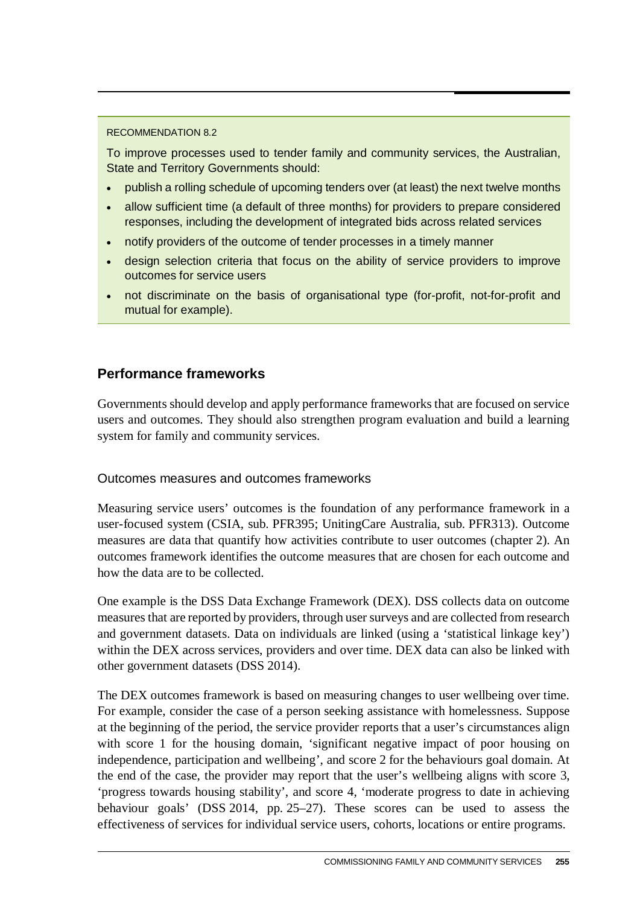#### RECOMMENDATION 8.2

To improve processes used to tender family and community services, the Australian, State and Territory Governments should:

- publish a rolling schedule of upcoming tenders over (at least) the next twelve months
- allow sufficient time (a default of three months) for providers to prepare considered responses, including the development of integrated bids across related services
- notify providers of the outcome of tender processes in a timely manner
- design selection criteria that focus on the ability of service providers to improve outcomes for service users
- not discriminate on the basis of organisational type (for-profit, not-for-profit and mutual for example).

### **Performance frameworks**

Governments should develop and apply performance frameworks that are focused on service users and outcomes. They should also strengthen program evaluation and build a learning system for family and community services.

#### Outcomes measures and outcomes frameworks

Measuring service users' outcomes is the foundation of any performance framework in a user-focused system (CSIA, sub. PFR395; UnitingCare Australia, sub. PFR313). Outcome measures are data that quantify how activities contribute to user outcomes (chapter 2). An outcomes framework identifies the outcome measures that are chosen for each outcome and how the data are to be collected.

One example is the DSS Data Exchange Framework (DEX). DSS collects data on outcome measuresthat are reported by providers, through user surveys and are collected from research and government datasets. Data on individuals are linked (using a 'statistical linkage key') within the DEX across services, providers and over time. DEX data can also be linked with other government datasets (DSS 2014).

The DEX outcomes framework is based on measuring changes to user wellbeing over time. For example, consider the case of a person seeking assistance with homelessness. Suppose at the beginning of the period, the service provider reports that a user's circumstances align with score 1 for the housing domain, 'significant negative impact of poor housing on independence, participation and wellbeing', and score 2 for the behaviours goal domain. At the end of the case, the provider may report that the user's wellbeing aligns with score 3, 'progress towards housing stability', and score 4, 'moderate progress to date in achieving behaviour goals' (DSS 2014, pp. 25–27). These scores can be used to assess the effectiveness of services for individual service users, cohorts, locations or entire programs.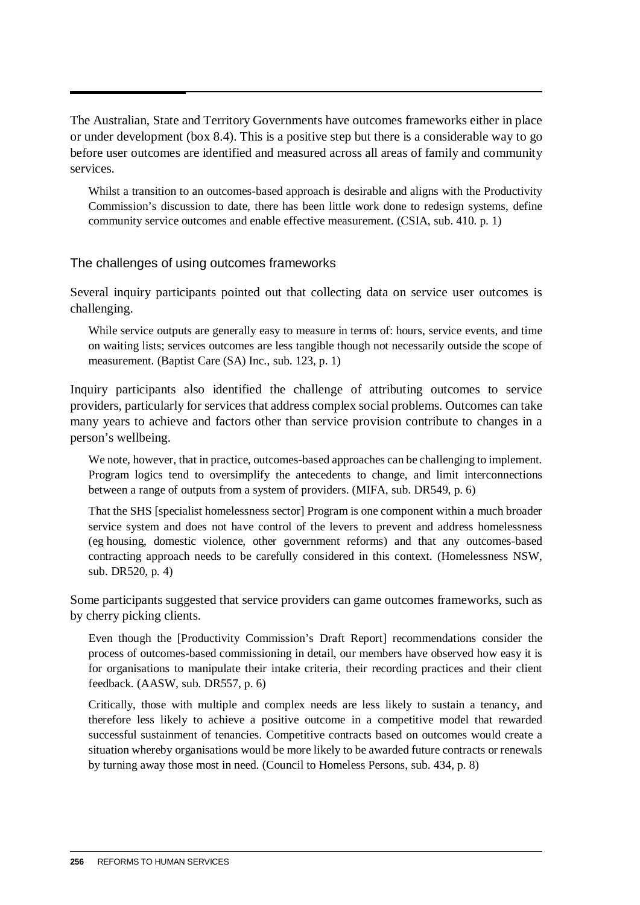The Australian, State and Territory Governments have outcomes frameworks either in place or under development (box 8.4). This is a positive step but there is a considerable way to go before user outcomes are identified and measured across all areas of family and community services.

Whilst a transition to an outcomes-based approach is desirable and aligns with the Productivity Commission's discussion to date, there has been little work done to redesign systems, define community service outcomes and enable effective measurement. (CSIA, sub. 410. p. 1)

#### The challenges of using outcomes frameworks

Several inquiry participants pointed out that collecting data on service user outcomes is challenging.

While service outputs are generally easy to measure in terms of: hours, service events, and time on waiting lists; services outcomes are less tangible though not necessarily outside the scope of measurement. (Baptist Care (SA) Inc., sub. 123, p. 1)

Inquiry participants also identified the challenge of attributing outcomes to service providers, particularly for services that address complex social problems. Outcomes can take many years to achieve and factors other than service provision contribute to changes in a person's wellbeing.

We note, however, that in practice, outcomes-based approaches can be challenging to implement. Program logics tend to oversimplify the antecedents to change, and limit interconnections between a range of outputs from a system of providers. (MIFA, sub. DR549, p. 6)

That the SHS [specialist homelessness sector] Program is one component within a much broader service system and does not have control of the levers to prevent and address homelessness (eg housing, domestic violence, other government reforms) and that any outcomes-based contracting approach needs to be carefully considered in this context. (Homelessness NSW, sub. DR520, p. 4)

Some participants suggested that service providers can game outcomes frameworks, such as by cherry picking clients.

Even though the [Productivity Commission's Draft Report] recommendations consider the process of outcomes-based commissioning in detail, our members have observed how easy it is for organisations to manipulate their intake criteria, their recording practices and their client feedback. (AASW, sub. DR557, p. 6)

Critically, those with multiple and complex needs are less likely to sustain a tenancy, and therefore less likely to achieve a positive outcome in a competitive model that rewarded successful sustainment of tenancies. Competitive contracts based on outcomes would create a situation whereby organisations would be more likely to be awarded future contracts or renewals by turning away those most in need. (Council to Homeless Persons, sub. 434, p. 8)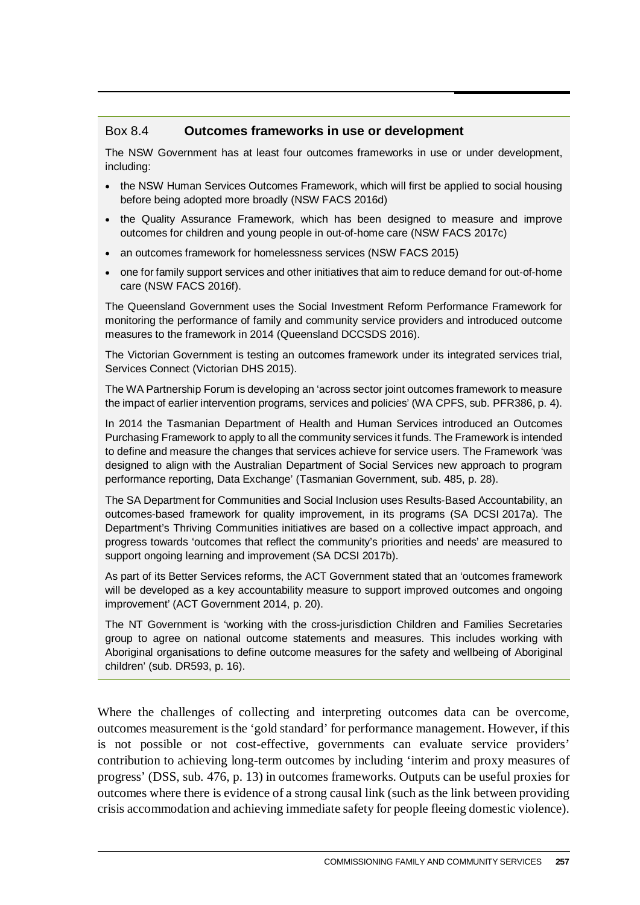#### Box 8.4 **Outcomes frameworks in use or development**

The NSW Government has at least four outcomes frameworks in use or under development, including:

- the NSW Human Services Outcomes Framework, which will first be applied to social housing before being adopted more broadly (NSW FACS 2016d)
- the Quality Assurance Framework, which has been designed to measure and improve outcomes for children and young people in out-of-home care (NSW FACS 2017c)
- an outcomes framework for homelessness services (NSW FACS 2015)
- one for family support services and other initiatives that aim to reduce demand for out-of-home care (NSW FACS 2016f).

The Queensland Government uses the Social Investment Reform Performance Framework for monitoring the performance of family and community service providers and introduced outcome measures to the framework in 2014 (Queensland DCCSDS 2016).

The Victorian Government is testing an outcomes framework under its integrated services trial, Services Connect (Victorian DHS 2015).

The WA Partnership Forum is developing an 'across sector joint outcomes framework to measure the impact of earlier intervention programs, services and policies' (WA CPFS, sub. PFR386, p. 4).

In 2014 the Tasmanian Department of Health and Human Services introduced an Outcomes Purchasing Framework to apply to all the community services it funds. The Framework is intended to define and measure the changes that services achieve for service users. The Framework 'was designed to align with the Australian Department of Social Services new approach to program performance reporting, Data Exchange' (Tasmanian Government, sub. 485, p. 28).

The SA Department for Communities and Social Inclusion uses Results-Based Accountability, an outcomes-based framework for quality improvement, in its programs (SA DCSI 2017a). The Department's Thriving Communities initiatives are based on a collective impact approach, and progress towards 'outcomes that reflect the community's priorities and needs' are measured to support ongoing learning and improvement (SA DCSI 2017b).

As part of its Better Services reforms, the ACT Government stated that an 'outcomes framework will be developed as a key accountability measure to support improved outcomes and ongoing improvement' (ACT Government 2014, p. 20).

The NT Government is 'working with the cross-jurisdiction Children and Families Secretaries group to agree on national outcome statements and measures. This includes working with Aboriginal organisations to define outcome measures for the safety and wellbeing of Aboriginal children' (sub. DR593, p. 16).

Where the challenges of collecting and interpreting outcomes data can be overcome, outcomes measurement is the 'gold standard' for performance management. However, if this is not possible or not cost-effective, governments can evaluate service providers' contribution to achieving long-term outcomes by including 'interim and proxy measures of progress' (DSS, sub. 476, p. 13) in outcomes frameworks. Outputs can be useful proxies for outcomes where there is evidence of a strong causal link (such as the link between providing crisis accommodation and achieving immediate safety for people fleeing domestic violence).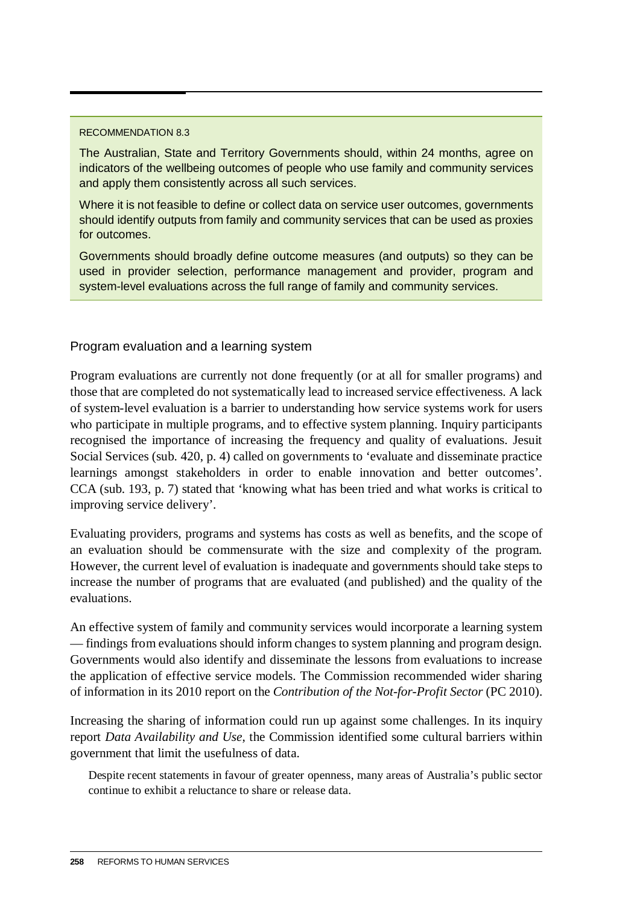#### RECOMMENDATION 8.3

The Australian, State and Territory Governments should, within 24 months, agree on indicators of the wellbeing outcomes of people who use family and community services and apply them consistently across all such services.

Where it is not feasible to define or collect data on service user outcomes, governments should identify outputs from family and community services that can be used as proxies for outcomes.

Governments should broadly define outcome measures (and outputs) so they can be used in provider selection, performance management and provider, program and system-level evaluations across the full range of family and community services.

#### Program evaluation and a learning system

Program evaluations are currently not done frequently (or at all for smaller programs) and those that are completed do not systematically lead to increased service effectiveness. A lack of system-level evaluation is a barrier to understanding how service systems work for users who participate in multiple programs, and to effective system planning. Inquiry participants recognised the importance of increasing the frequency and quality of evaluations. Jesuit Social Services (sub. 420, p. 4) called on governments to 'evaluate and disseminate practice learnings amongst stakeholders in order to enable innovation and better outcomes'. CCA (sub. 193, p. 7) stated that 'knowing what has been tried and what works is critical to improving service delivery'.

Evaluating providers, programs and systems has costs as well as benefits, and the scope of an evaluation should be commensurate with the size and complexity of the program. However, the current level of evaluation is inadequate and governments should take steps to increase the number of programs that are evaluated (and published) and the quality of the evaluations.

An effective system of family and community services would incorporate a learning system — findings from evaluations should inform changes to system planning and program design. Governments would also identify and disseminate the lessons from evaluations to increase the application of effective service models. The Commission recommended wider sharing of information in its 2010 report on the *Contribution of the Not-for-Profit Sector* (PC 2010).

Increasing the sharing of information could run up against some challenges. In its inquiry report *Data Availability and Use*, the Commission identified some cultural barriers within government that limit the usefulness of data.

Despite recent statements in favour of greater openness, many areas of Australia's public sector continue to exhibit a reluctance to share or release data.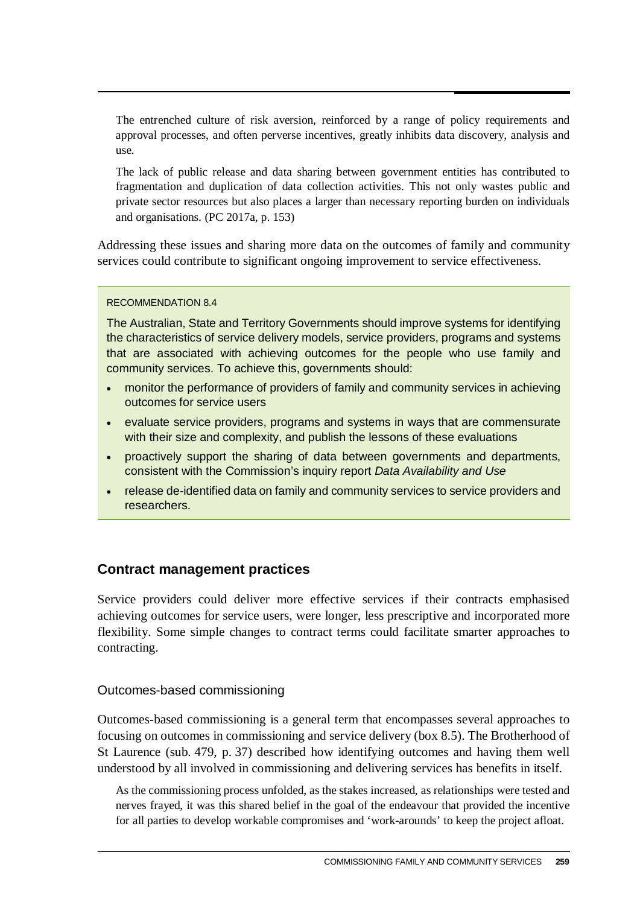The entrenched culture of risk aversion, reinforced by a range of policy requirements and approval processes, and often perverse incentives, greatly inhibits data discovery, analysis and use.

The lack of public release and data sharing between government entities has contributed to fragmentation and duplication of data collection activities. This not only wastes public and private sector resources but also places a larger than necessary reporting burden on individuals and organisations. (PC 2017a, p. 153)

Addressing these issues and sharing more data on the outcomes of family and community services could contribute to significant ongoing improvement to service effectiveness.

#### RECOMMENDATION 8.4

The Australian, State and Territory Governments should improve systems for identifying the characteristics of service delivery models, service providers, programs and systems that are associated with achieving outcomes for the people who use family and community services. To achieve this, governments should:

- monitor the performance of providers of family and community services in achieving outcomes for service users
- evaluate service providers, programs and systems in ways that are commensurate with their size and complexity, and publish the lessons of these evaluations
- proactively support the sharing of data between governments and departments, consistent with the Commission's inquiry report *Data Availability and Use*
- release de-identified data on family and community services to service providers and researchers.

#### **Contract management practices**

Service providers could deliver more effective services if their contracts emphasised achieving outcomes for service users, were longer, less prescriptive and incorporated more flexibility. Some simple changes to contract terms could facilitate smarter approaches to contracting.

#### Outcomes-based commissioning

Outcomes-based commissioning is a general term that encompasses several approaches to focusing on outcomes in commissioning and service delivery (box 8.5). The Brotherhood of St Laurence (sub. 479, p. 37) described how identifying outcomes and having them well understood by all involved in commissioning and delivering services has benefits in itself.

As the commissioning process unfolded, as the stakes increased, as relationships were tested and nerves frayed, it was this shared belief in the goal of the endeavour that provided the incentive for all parties to develop workable compromises and 'work-arounds' to keep the project afloat.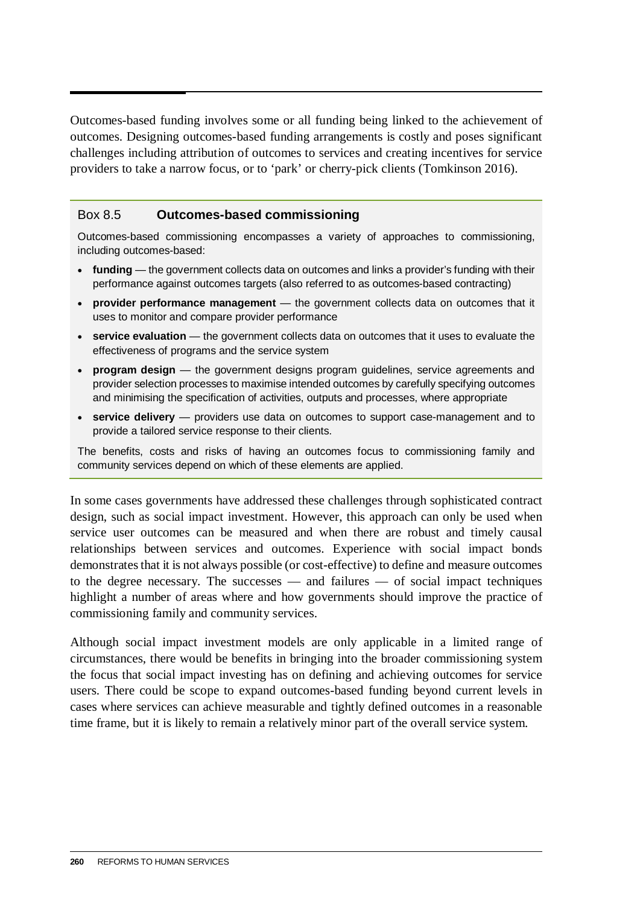Outcomes-based funding involves some or all funding being linked to the achievement of outcomes. Designing outcomes-based funding arrangements is costly and poses significant challenges including attribution of outcomes to services and creating incentives for service providers to take a narrow focus, or to 'park' or cherry-pick clients (Tomkinson 2016).

#### Box 8.5 **Outcomes-based commissioning**

Outcomes-based commissioning encompasses a variety of approaches to commissioning, including outcomes-based:

- **funding** the government collects data on outcomes and links a provider's funding with their performance against outcomes targets (also referred to as outcomes-based contracting)
- **provider performance management** the government collects data on outcomes that it uses to monitor and compare provider performance
- **service evaluation** the government collects data on outcomes that it uses to evaluate the effectiveness of programs and the service system
- **program design** the government designs program guidelines, service agreements and provider selection processes to maximise intended outcomes by carefully specifying outcomes and minimising the specification of activities, outputs and processes, where appropriate
- **service delivery** providers use data on outcomes to support case-management and to provide a tailored service response to their clients.

The benefits, costs and risks of having an outcomes focus to commissioning family and community services depend on which of these elements are applied.

In some cases governments have addressed these challenges through sophisticated contract design, such as social impact investment. However, this approach can only be used when service user outcomes can be measured and when there are robust and timely causal relationships between services and outcomes. Experience with social impact bonds demonstrates that it is not always possible (or cost-effective) to define and measure outcomes to the degree necessary. The successes — and failures — of social impact techniques highlight a number of areas where and how governments should improve the practice of commissioning family and community services.

Although social impact investment models are only applicable in a limited range of circumstances, there would be benefits in bringing into the broader commissioning system the focus that social impact investing has on defining and achieving outcomes for service users. There could be scope to expand outcomes-based funding beyond current levels in cases where services can achieve measurable and tightly defined outcomes in a reasonable time frame, but it is likely to remain a relatively minor part of the overall service system.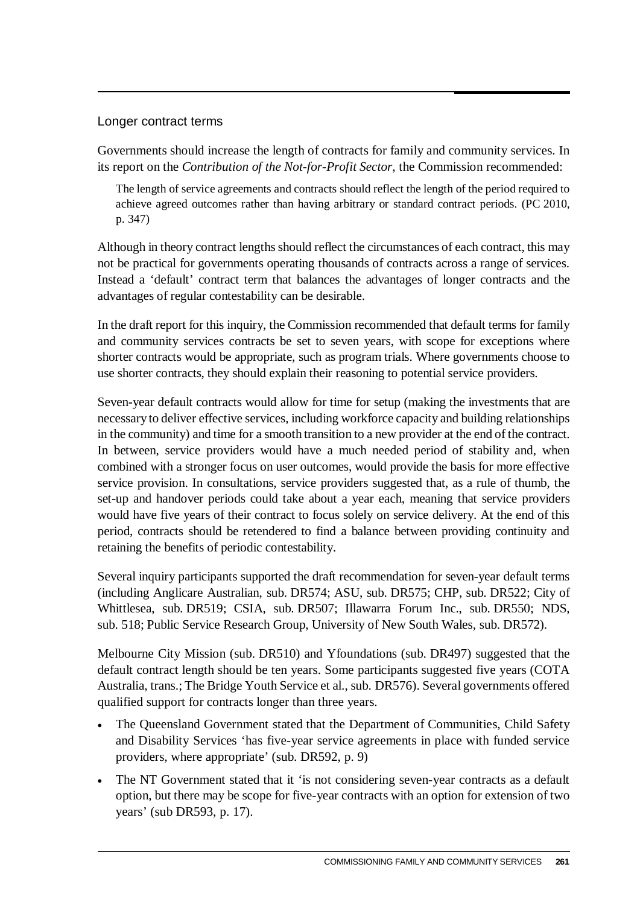#### Longer contract terms

Governments should increase the length of contracts for family and community services. In its report on the *Contribution of the Not-for-Profit Sector*, the Commission recommended:

The length of service agreements and contracts should reflect the length of the period required to achieve agreed outcomes rather than having arbitrary or standard contract periods. (PC 2010, p. 347)

Although in theory contract lengths should reflect the circumstances of each contract, this may not be practical for governments operating thousands of contracts across a range of services. Instead a 'default' contract term that balances the advantages of longer contracts and the advantages of regular contestability can be desirable.

In the draft report for this inquiry, the Commission recommended that default terms for family and community services contracts be set to seven years, with scope for exceptions where shorter contracts would be appropriate, such as program trials. Where governments choose to use shorter contracts, they should explain their reasoning to potential service providers.

Seven-year default contracts would allow for time for setup (making the investments that are necessary to deliver effective services, including workforce capacity and building relationships in the community) and time for a smooth transition to a new provider at the end of the contract. In between, service providers would have a much needed period of stability and, when combined with a stronger focus on user outcomes, would provide the basis for more effective service provision. In consultations, service providers suggested that, as a rule of thumb, the set-up and handover periods could take about a year each, meaning that service providers would have five years of their contract to focus solely on service delivery. At the end of this period, contracts should be retendered to find a balance between providing continuity and retaining the benefits of periodic contestability.

Several inquiry participants supported the draft recommendation for seven-year default terms (including Anglicare Australian, sub. DR574; ASU, sub. DR575; CHP, sub. DR522; City of Whittlesea, sub. DR519; CSIA, sub. DR507; Illawarra Forum Inc., sub. DR550; NDS, sub. 518; Public Service Research Group, University of New South Wales, sub. DR572).

Melbourne City Mission (sub. DR510) and Yfoundations (sub. DR497) suggested that the default contract length should be ten years. Some participants suggested five years (COTA Australia, trans.; The Bridge Youth Service et al., sub. DR576). Several governments offered qualified support for contracts longer than three years.

- The Queensland Government stated that the Department of Communities, Child Safety and Disability Services 'has five-year service agreements in place with funded service providers, where appropriate' (sub. DR592, p. 9)
- The NT Government stated that it 'is not considering seven-year contracts as a default option, but there may be scope for five-year contracts with an option for extension of two years' (sub DR593, p. 17).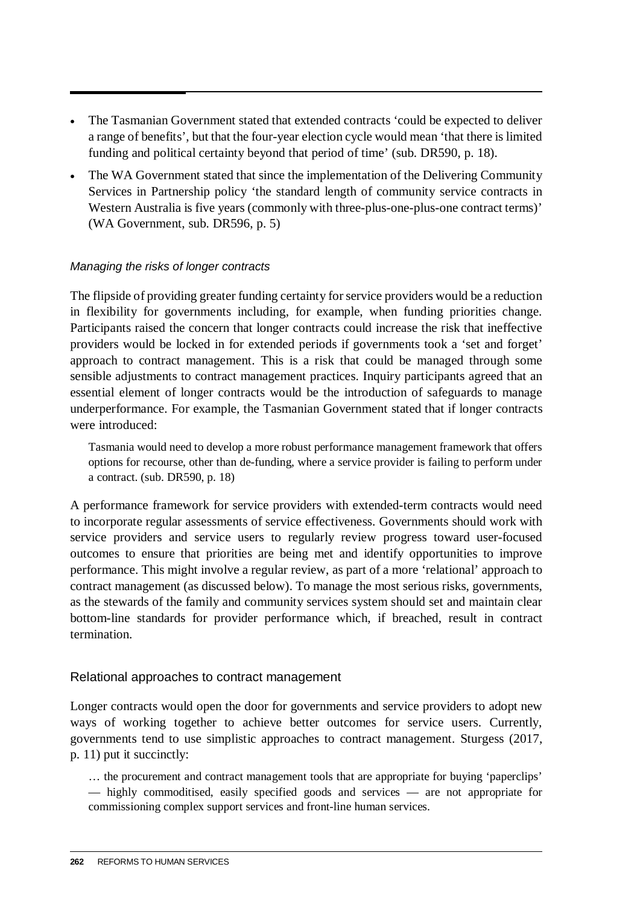- The Tasmanian Government stated that extended contracts 'could be expected to deliver a range of benefits', but that the four-year election cycle would mean 'that there is limited funding and political certainty beyond that period of time' (sub. DR590, p. 18).
- The WA Government stated that since the implementation of the Delivering Community Services in Partnership policy 'the standard length of community service contracts in Western Australia is five years (commonly with three-plus-one-plus-one contract terms)' (WA Government, sub. DR596, p. 5)

#### *Managing the risks of longer contracts*

The flipside of providing greater funding certainty for service providers would be a reduction in flexibility for governments including, for example, when funding priorities change. Participants raised the concern that longer contracts could increase the risk that ineffective providers would be locked in for extended periods if governments took a 'set and forget' approach to contract management. This is a risk that could be managed through some sensible adjustments to contract management practices. Inquiry participants agreed that an essential element of longer contracts would be the introduction of safeguards to manage underperformance. For example, the Tasmanian Government stated that if longer contracts were introduced:

Tasmania would need to develop a more robust performance management framework that offers options for recourse, other than de-funding, where a service provider is failing to perform under a contract. (sub. DR590, p. 18)

A performance framework for service providers with extended-term contracts would need to incorporate regular assessments of service effectiveness. Governments should work with service providers and service users to regularly review progress toward user-focused outcomes to ensure that priorities are being met and identify opportunities to improve performance. This might involve a regular review, as part of a more 'relational' approach to contract management (as discussed below). To manage the most serious risks, governments, as the stewards of the family and community services system should set and maintain clear bottom-line standards for provider performance which, if breached, result in contract termination.

#### Relational approaches to contract management

Longer contracts would open the door for governments and service providers to adopt new ways of working together to achieve better outcomes for service users. Currently, governments tend to use simplistic approaches to contract management. Sturgess (2017, p. 11) put it succinctly:

… the procurement and contract management tools that are appropriate for buying 'paperclips' — highly commoditised, easily specified goods and services — are not appropriate for commissioning complex support services and front-line human services.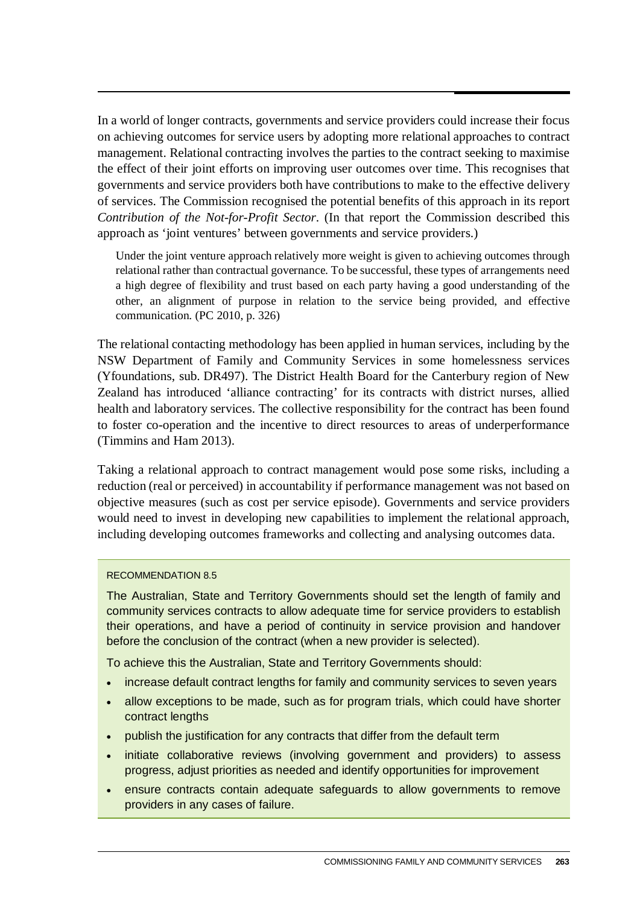In a world of longer contracts, governments and service providers could increase their focus on achieving outcomes for service users by adopting more relational approaches to contract management. Relational contracting involves the parties to the contract seeking to maximise the effect of their joint efforts on improving user outcomes over time. This recognises that governments and service providers both have contributions to make to the effective delivery of services. The Commission recognised the potential benefits of this approach in its report *Contribution of the Not-for-Profit Sector*. (In that report the Commission described this approach as 'joint ventures' between governments and service providers.)

Under the joint venture approach relatively more weight is given to achieving outcomes through relational rather than contractual governance. To be successful, these types of arrangements need a high degree of flexibility and trust based on each party having a good understanding of the other, an alignment of purpose in relation to the service being provided, and effective communication. (PC 2010, p. 326)

The relational contacting methodology has been applied in human services, including by the NSW Department of Family and Community Services in some homelessness services (Yfoundations, sub. DR497). The District Health Board for the Canterbury region of New Zealand has introduced 'alliance contracting' for its contracts with district nurses, allied health and laboratory services. The collective responsibility for the contract has been found to foster co-operation and the incentive to direct resources to areas of underperformance (Timmins and Ham 2013).

Taking a relational approach to contract management would pose some risks, including a reduction (real or perceived) in accountability if performance management was not based on objective measures (such as cost per service episode). Governments and service providers would need to invest in developing new capabilities to implement the relational approach, including developing outcomes frameworks and collecting and analysing outcomes data.

#### RECOMMENDATION 8.5

The Australian, State and Territory Governments should set the length of family and community services contracts to allow adequate time for service providers to establish their operations, and have a period of continuity in service provision and handover before the conclusion of the contract (when a new provider is selected).

To achieve this the Australian, State and Territory Governments should:

- increase default contract lengths for family and community services to seven years
- allow exceptions to be made, such as for program trials, which could have shorter contract lengths
- publish the justification for any contracts that differ from the default term
- initiate collaborative reviews (involving government and providers) to assess progress, adjust priorities as needed and identify opportunities for improvement
- ensure contracts contain adequate safeguards to allow governments to remove providers in any cases of failure.